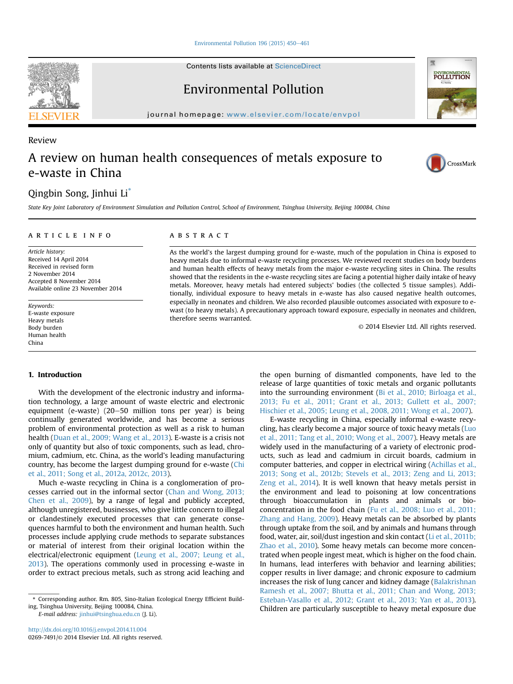[Environmental Pollution 196 \(2015\) 450](http://dx.doi.org/10.1016/j.envpol.2014.11.004)-[461](http://dx.doi.org/10.1016/j.envpol.2014.11.004)

Contents lists available at ScienceDirect

Environmental Pollution

journal homepage: [www.elsevier.com/locate/envpol](http://www.elsevier.com/locate/envpol)

# A review on human health consequences of metals exposure to e-waste in China

# Qingbin Song, Jinhui Li\*

State Key Joint Laboratory of Environment Simulation and Pollution Control, School of Environment, Tsinghua University, Beijing 100084, China

# article info

Article history: Received 14 April 2014 Received in revised form 2 November 2014 Accepted 8 November 2014 Available online 23 November 2014

Keywords: E-waste exposure Heavy metals Body burden Human health China

# **ABSTRACT**

As the world's the largest dumping ground for e-waste, much of the population in China is exposed to heavy metals due to informal e-waste recycling processes. We reviewed recent studies on body burdens and human health effects of heavy metals from the major e-waste recycling sites in China. The results showed that the residents in the e-waste recycling sites are facing a potential higher daily intake of heavy metals. Moreover, heavy metals had entered subjects' bodies (the collected 5 tissue samples). Additionally, individual exposure to heavy metals in e-waste has also caused negative health outcomes, especially in neonates and children. We also recorded plausible outcomes associated with exposure to ewast (to heavy metals). A precautionary approach toward exposure, especially in neonates and children, therefore seems warranted.

© 2014 Elsevier Ltd. All rights reserved.

# 1. Introduction

With the development of the electronic industry and information technology, a large amount of waste electric and electronic equipment (e-waste) (20-50 million tons per year) is being continually generated worldwide, and has become a serious problem of environmental protection as well as a risk to human health [\(Duan et al., 2009; Wang et al., 2013\)](#page-9-0). E-waste is a crisis not only of quantity but also of toxic components, such as lead, chromium, cadmium, etc. China, as the world's leading manufacturing country, has become the largest dumping ground for e-waste ([Chi](#page-9-0) [et al., 2011; Song et al., 2012a, 2012c, 2013](#page-9-0)).

Much e-waste recycling in China is a conglomeration of processes carried out in the informal sector ([Chan and Wong, 2013;](#page-9-0) [Chen et al., 2009\)](#page-9-0), by a range of legal and publicly accepted, although unregistered, businesses, who give little concern to illegal or clandestinely executed processes that can generate consequences harmful to both the environment and human health. Such processes include applying crude methods to separate substances or material of interest from their original location within the electrical/electronic equipment ([Leung et al., 2007; Leung et al.,](#page-10-0) [2013](#page-10-0)). The operations commonly used in processing e-waste in order to extract precious metals, such as strong acid leaching and

E-mail address: [jinhui@tsinghua.edu.cn](mailto:jinhui@tsinghua.edu.cn) (J. Li).

the open burning of dismantled components, have led to the release of large quantities of toxic metals and organic pollutants into the surrounding environment ([Bi et al., 2010; Birloaga et al.,](#page-9-0) [2013; Fu et al., 2011; Grant et al., 2013; Gullett et al., 2007;](#page-9-0) [Hischier et al., 2005; Leung et al., 2008, 2011; Wong et al., 2007](#page-9-0)).

E-waste recycling in China, especially informal e-waste recycling, has clearly become a major source of toxic heavy metals [\(Luo](#page-10-0) [et al., 2011; Tang et al., 2010; Wong et al., 2007](#page-10-0)). Heavy metals are widely used in the manufacturing of a variety of electronic products, such as lead and cadmium in circuit boards, cadmium in computer batteries, and copper in electrical wiring ([Achillas et al.,](#page-9-0) [2013; Song et al., 2012b; Stevels et al., 2013; Zeng and Li, 2013;](#page-9-0) [Zeng et al., 2014\)](#page-9-0). It is well known that heavy metals persist in the environment and lead to poisoning at low concentrations through bioaccumulation in plants and animals or bioconcentration in the food chain [\(Fu et al., 2008; Luo et al., 2011;](#page-9-0) [Zhang and Hang, 2009](#page-9-0)). Heavy metals can be absorbed by plants through uptake from the soil, and by animals and humans through food, water, air, soil/dust ingestion and skin contact ([Li et al., 2011b;](#page-10-0) [Zhao et al., 2010](#page-10-0)). Some heavy metals can become more concentrated when people ingest meat, which is higher on the food chain. In humans, lead interferes with behavior and learning abilities; copper results in liver damage; and chronic exposure to cadmium increases the risk of lung cancer and kidney damage ([Balakrishnan](#page-9-0) [Ramesh et al., 2007; Bhutta et al., 2011; Chan and Wong, 2013;](#page-9-0) [Esteban-Vasallo et al., 2012; Grant et al., 2013; Yan et al., 2013\)](#page-9-0). Children are particularly susceptible to heavy metal exposure due



Review





<sup>\*</sup> Corresponding author. Rm. 805, Sino-Italian Ecological Energy Efficient Building, Tsinghua University, Beijing 100084, China.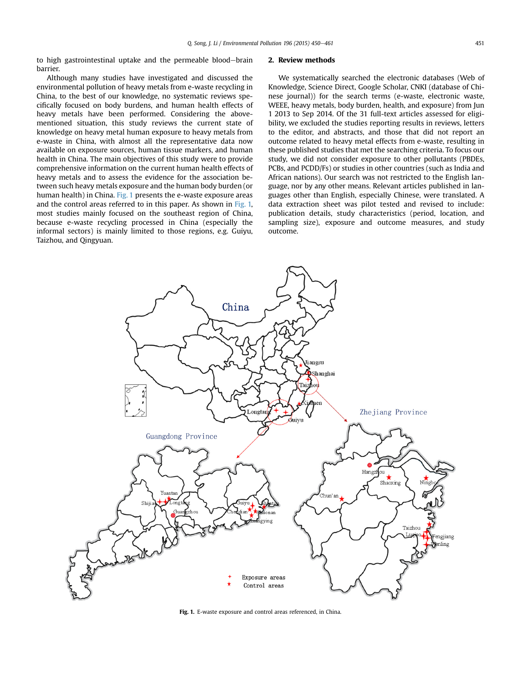to high gastrointestinal uptake and the permeable blood-brain barrier.

Although many studies have investigated and discussed the environmental pollution of heavy metals from e-waste recycling in China, to the best of our knowledge, no systematic reviews specifically focused on body burdens, and human health effects of heavy metals have been performed. Considering the abovementioned situation, this study reviews the current state of knowledge on heavy metal human exposure to heavy metals from e-waste in China, with almost all the representative data now available on exposure sources, human tissue markers, and human health in China. The main objectives of this study were to provide comprehensive information on the current human health effects of heavy metals and to assess the evidence for the association between such heavy metals exposure and the human body burden (or human health) in China. Fig. 1 presents the e-waste exposure areas and the control areas referred to in this paper. As shown in Fig. 1, most studies mainly focused on the southeast region of China, because e-waste recycling processed in China (especially the informal sectors) is mainly limited to those regions, e.g. Guiyu, Taizhou, and Qingyuan.

# 2. Review methods

We systematically searched the electronic databases (Web of Knowledge, Science Direct, Google Scholar, CNKI (database of Chinese journal)) for the search terms (e-waste, electronic waste, WEEE, heavy metals, body burden, health, and exposure) from Jun 1 2013 to Sep 2014. Of the 31 full-text articles assessed for eligibility, we excluded the studies reporting results in reviews, letters to the editor, and abstracts, and those that did not report an outcome related to heavy metal effects from e-waste, resulting in these published studies that met the searching criteria. To focus our study, we did not consider exposure to other pollutants (PBDEs, PCBs, and PCDD/Fs) or studies in other countries (such as India and African nations). Our search was not restricted to the English language, nor by any other means. Relevant articles published in languages other than English, especially Chinese, were translated. A data extraction sheet was pilot tested and revised to include: publication details, study characteristics (period, location, and sampling size), exposure and outcome measures, and study outcome.



Fig. 1. E-waste exposure and control areas referenced, in China.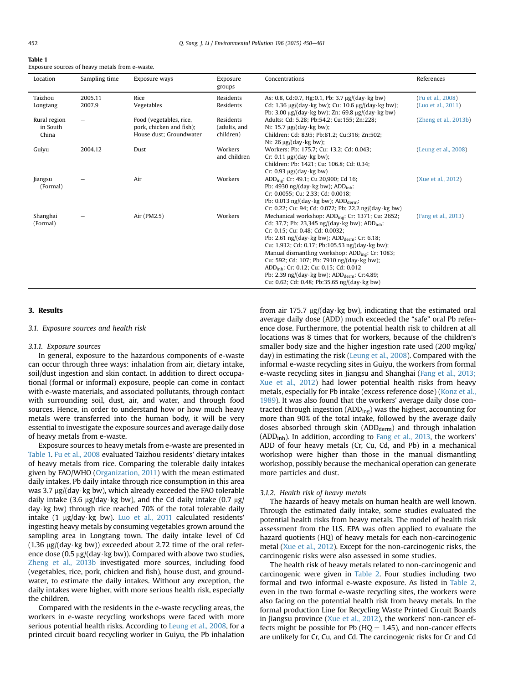| Table 1 |  |  |
|---------|--|--|
|         |  |  |

Exposure sources of heavy metals from e-waste.

| Location                          | Sampling time     | Exposure ways                                                                  | Exposure<br>groups                            | Concentrations                                                                                                                                                                                                                                                                                                                                                                                                                                                                                                                                             | References                              |
|-----------------------------------|-------------------|--------------------------------------------------------------------------------|-----------------------------------------------|------------------------------------------------------------------------------------------------------------------------------------------------------------------------------------------------------------------------------------------------------------------------------------------------------------------------------------------------------------------------------------------------------------------------------------------------------------------------------------------------------------------------------------------------------------|-----------------------------------------|
| Taizhou<br>Longtang               | 2005.11<br>2007.9 | Rice<br>Vegetables                                                             | Residents<br>Residents                        | As: 0.8, Cd:0.7, Hg:0.1, Pb: 3.7 µg/(day kg bw)<br>Cd: 1.36 $\mu$ g/(day·kg bw); Cu: 10.6 $\mu$ g/(day·kg bw);<br>Pb: 3.00 $\mu$ g/(day·kg bw); Zn: 69.8 $\mu$ g/(day·kg bw)                                                                                                                                                                                                                                                                                                                                                                               | (Fu et al., 2008)<br>(Luo et al., 2011) |
| Rural region<br>in South<br>China |                   | Food (vegetables, rice,<br>pork, chicken and fish);<br>House dust: Groundwater | <b>Residents</b><br>(adults, and<br>children) | Adults: Cd: 5.28; Pb:54.2; Cu:155; Zn:228;<br>Ni: $15.7 \mu g/(day \cdot kg bw);$<br>Children: Cd: 8.95; Pb:81.2; Cu:316; Zn:502;<br>Ni: $26 \mu g/(day \cdot kg bw)$ ;                                                                                                                                                                                                                                                                                                                                                                                    | (Zheng et al., 2013b)                   |
| Guiyu                             | 2004.12           | Dust                                                                           | Workers<br>and children                       | Workers: Pb: 175.7; Cu: 13.2; Cd: 0.043;<br>Cr: 0.11 $\mu$ g/(day·kg bw);<br>Children: Pb: 1421; Cu: 106.8; Cd: 0.34;<br>Cr: 0.93 $\mu$ g/(day·kg bw)                                                                                                                                                                                                                                                                                                                                                                                                      | (Leung et al., 2008)                    |
| Jiangsu<br>(Formal)               |                   | Air                                                                            | Workers                                       | ADD <sub>ing</sub> : Cr: 49.1; Cu 20,900; Cd 16;<br>Pb: 4930 ng/(day·kg bw); $ADD_{inh}$ :<br>Cr: 0.0055; Cu: 2.33; Cd: 0.0018;<br>Pb: 0.013 ng/(day kg bw); $ADDderm$ :<br>Cr: 0.22; Cu: 94; Cd: 0.072; Pb: 22.2 ng/(day kg bw)                                                                                                                                                                                                                                                                                                                           | (Xue et al., 2012)                      |
| Shanghai<br>(Formal)              |                   | Air (PM2.5)                                                                    | Workers                                       | Mechanical workshop: ADD <sub>ing</sub> : Cr: 1371; Cu: 2652;<br>Cd: 37.7; Pb: 23,345 ng/(day kg bw); ADD <sub>inh</sub> :<br>Cr: 0.15; Cu: 0.48; Cd: 0.0032;<br>Pb: 2.61 ng/(day kg bw); ADD <sub>derm</sub> : Cr: 6.18;<br>Cu: 1.932; Cd: 0.17; Pb:105.53 ng/(day kg bw);<br>Manual dismantling workshop: ADD <sub>ing</sub> : Cr: 1083;<br>Cu: 592; Cd: 107; Pb: 7910 ng/(day·kg bw);<br>ADD <sub>inh</sub> : Cr: 0.12; Cu: 0.15; Cd: 0.012<br>Pb: 2.39 ng/(day·kg bw); ADD <sub>derm</sub> : Cr:4.89;<br>Cu: 0.62; Cd: 0.48; Pb:35.65 ng/(day · kg bw) | (Fang et al., 2013)                     |

# 3. Results

#### 3.1. Exposure sources and health risk

#### 3.1.1. Exposure sources

In general, exposure to the hazardous components of e-waste can occur through three ways: inhalation from air, dietary intake, soil/dust ingestion and skin contact. In addition to direct occupational (formal or informal) exposure, people can come in contact with e-waste materials, and associated pollutants, through contact with surrounding soil, dust, air, and water, and through food sources. Hence, in order to understand how or how much heavy metals were transferred into the human body, it will be very essential to investigate the exposure sources and average daily dose of heavy metals from e-waste.

Exposure sources to heavy metals from e-waste are presented in Table 1. [Fu et al., 2008](#page-9-0) evaluated Taizhou residents' dietary intakes of heavy metals from rice. Comparing the tolerable daily intakes given by FAO/WHO [\(Organization, 2011](#page-10-0)) with the mean estimated daily intakes, Pb daily intake through rice consumption in this area was 3.7 µg/(day · kg bw), which already exceeded the FAO tolerable daily intake (3.6  $\mu$ g/day kg bw), and the Cd daily intake (0.7  $\mu$ g/ day kg bw) through rice reached 70% of the total tolerable daily intake (1 µg/day kg bw). [Luo et al., 2011](#page-10-0) calculated residents' ingesting heavy metals by consuming vegetables grown around the sampling area in Longtang town. The daily intake level of Cd  $(1.36 \mu g/(day \cdot kg)$  bw)) exceeded about 2.72 time of the oral reference dose (0.5  $\mu$ g/(day·kg bw)). Compared with above two studies, [Zheng et al., 2013b](#page-11-0) investigated more sources, including food (vegetables, rice, pork, chicken and fish), house dust, and groundwater, to estimate the daily intakes. Without any exception, the daily intakes were higher, with more serious health risk, especially the children.

Compared with the residents in the e-waste recycling areas, the workers in e-waste recycling workshops were faced with more serious potential health risks. According to [Leung et al., 2008,](#page-10-0) for a printed circuit board recycling worker in Guiyu, the Pb inhalation from air 175.7  $\mu$ g/(day·kg bw), indicating that the estimated oral average daily dose (ADD) much exceeded the "safe" oral Pb reference dose. Furthermore, the potential health risk to children at all locations was 8 times that for workers, because of the children's smaller body size and the higher ingestion rate used (200 mg/kg/ day) in estimating the risk [\(Leung et al., 2008\)](#page-10-0). Compared with the informal e-waste recycling sites in Guiyu, the workers from formal e-waste recycling sites in Jiangsu and Shanghai [\(Fang et al., 2013;](#page-9-0) [Xue et al., 2012](#page-9-0)) had lower potential health risks from heavy metals, especially for Pb intake (excess reference dose) [\(Konz et al.,](#page-10-0) [1989](#page-10-0)). It was also found that the workers' average daily dose contracted through ingestion ( $ADD_{\text{ine}}$ ) was the highest, accounting for more than 90% of the total intake, followed by the average daily doses absorbed through skin  $(ADD_{\text{derm}})$  and through inhalation (ADD<sub>inh</sub>). In addition, according to [Fang et al., 2013,](#page-9-0) the workers' ADD of four heavy metals (Cr, Cu, Cd, and Pb) in a mechanical workshop were higher than those in the manual dismantling workshop, possibly because the mechanical operation can generate more particles and dust.

# 3.1.2. Health risk of heavy metals

The hazards of heavy metals on human health are well known. Through the estimated daily intake, some studies evaluated the potential health risks from heavy metals. The model of health risk assessment from the U.S. EPA was often applied to evaluate the hazard quotients (HQ) of heavy metals for each non-carcinogenic metal ([Xue et al., 2012](#page-10-0)). Except for the non-carcinogenic risks, the carcinogenic risks were also assessed in some studies.

The health risk of heavy metals related to non-carcinogenic and carcinogenic were given in [Table 2.](#page-5-0) Four studies including two formal and two informal e-waste exposure. As listed in [Table 2,](#page-5-0) even in the two formal e-waste recycling sites, the workers were also facing on the potential health risk from heavy metals. In the formal production Line for Recycling Waste Printed Circuit Boards in Jiangsu province [\(Xue et al., 2012](#page-10-0)), the workers' non-cancer effects might be possible for Pb ( $HQ = 1.45$ ), and non-cancer effects are unlikely for Cr, Cu, and Cd. The carcinogenic risks for Cr and Cd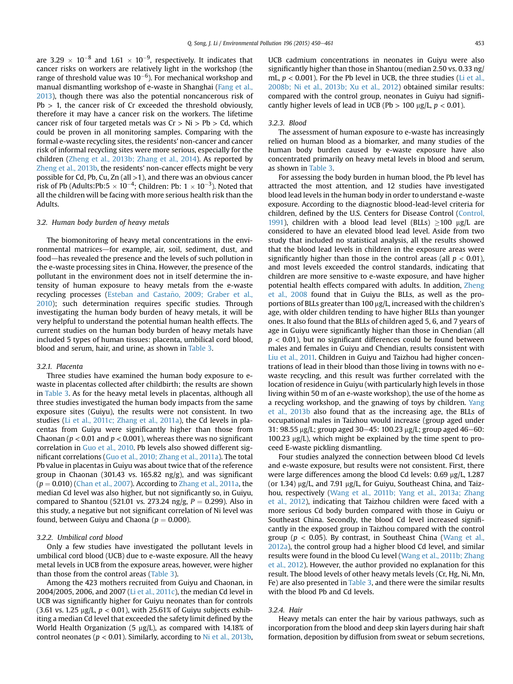are 3.29  $\times$  10<sup>-8</sup> and 1.61  $\times$  10<sup>-9</sup>, respectively. It indicates that cancer risks on workers are relatively light in the workshop (the range of threshold value was 10 $^{-6}$ ). For mechanical workshop and manual dismantling workshop of e-waste in Shanghai [\(Fang et al.,](#page-9-0) [2013\)](#page-9-0), though there was also the potential noncancerous risk of  $Pb > 1$ , the cancer risk of Cr exceeded the threshold obviously, therefore it may have a cancer risk on the workers. The lifetime cancer risk of four targeted metals was  $Cr > Ni > Pb > Cd$ . which could be proven in all monitoring samples. Comparing with the formal e-waste recycling sites, the residents' non-cancer and cancer risk of informal recycling sites were more serious, especially for the children ([Zheng et al., 2013b;](#page-11-0) [Zhang et al., 2014](#page-10-0)). As reported by [Zheng et al., 2013b,](#page-11-0) the residents' non-cancer effects might be very possible for Cd, Pb, Cu, Zn (all  $>1$ ), and there was an obvious cancer risk of Pb (Adults:Pb: $5 \times 10^{-4}$ ; Children: Pb:  $1 \times 10^{-3}$ ). Noted that all the children will be facing with more serious health risk than the Adults.

# 3.2. Human body burden of heavy metals

The biomonitoring of heavy metal concentrations in the environmental matrices-for example, air, soil, sediment, dust, and food—has revealed the presence and the levels of such pollution in the e-waste processing sites in China. However, the presence of the pollutant in the environment does not in itself determine the intensity of human exposure to heavy metals from the e-waste recycling processes (Esteban and Castaño, 2009; Graber et al., [2010\)](#page-9-0); such determination requires specific studies. Through investigating the human body burden of heavy metals, it will be very helpful to understand the potential human health effects. The current studies on the human body burden of heavy metals have included 5 types of human tissues: placenta, umbilical cord blood, blood and serum, hair, and urine, as shown in [Table 3.](#page-6-0)

#### 3.2.1. Placenta

Three studies have examined the human body exposure to ewaste in placentas collected after childbirth; the results are shown in [Table 3.](#page-6-0) As for the heavy metal levels in placentas, although all three studies investigated the human body impacts from the same exposure sites (Guiyu), the results were not consistent. In two studies [\(Li et al., 2011c; Zhang et al., 2011a](#page-10-0)), the Cd levels in placentas from Guiyu were significantly higher than those from Chaonan ( $p < 0.01$  and  $p < 0.001$ ), whereas there was no significant correlation in [Guo et al., 2010.](#page-9-0) Pb levels also showed different significant correlations ([Guo et al., 2010; Zhang et al., 2011a\)](#page-9-0). The total Pb value in placentas in Guiyu was about twice that of the reference group in Chaonan (301.43 vs. 165.82 ng/g), and was significant  $(p = 0.010)$  ([Chan et al., 2007](#page-9-0)). According to [Zhang et al., 2011a](#page-10-0), the median Cd level was also higher, but not significantly so, in Guiyu, compared to Shantou (521.01 vs. 273.24 ng/g,  $P = 0.299$ ). Also in this study, a negative but not significant correlation of Ni level was found, between Guiyu and Chaona ( $p = 0.000$ ).

# 3.2.2. Umbilical cord blood

Only a few studies have investigated the pollutant levels in umbilical cord blood (UCB) due to e-waste exposure. All the heavy metal levels in UCB from the exposure areas, however, were higher than those from the control areas [\(Table 3](#page-6-0)).

Among the 423 mothers recruited from Guiyu and Chaonan, in 2004/2005, 2006, and 2007 [\(Li et al., 2011c\)](#page-10-0), the median Cd level in UCB was significantly higher for Guiyu neonates than for controls (3.61 vs. 1.25  $\mu$ g/L,  $p < 0.01$ ), with 25.61% of Guiyu subjects exhibiting a median Cd level that exceeded the safety limit defined by the World Health Organization (5  $\mu$ g/L), as compared with 14.18% of control neonates ( $p < 0.01$ ). Similarly, according to [Ni et al., 2013b,](#page-10-0) UCB cadmium concentrations in neonates in Guiyu were also significantly higher than those in Shantou (median 2.50 vs. 0.33 ng/ mL,  $p < 0.001$ ). For the Pb level in UCB, the three studies [\(Li et al.,](#page-10-0) [2008b; Ni et al., 2013b; Xu et al., 2012\)](#page-10-0) obtained similar results: compared with the control group, neonates in Guiyu had significantly higher levels of lead in UCB (Pb  $> 100 \mu g/L$ ,  $p < 0.01$ ).

#### 3.2.3. Blood

The assessment of human exposure to e-waste has increasingly relied on human blood as a biomarker, and many studies of the human body burden caused by e-waste exposure have also concentrated primarily on heavy metal levels in blood and serum, as shown in [Table 3](#page-6-0).

For assessing the body burden in human blood, the Pb level has attracted the most attention, and 12 studies have investigated blood lead levels in the human body in order to understand e-waste exposure. According to the diagnostic blood-lead-level criteria for children, defined by the U.S. Centers for Disease Control ([Control,](#page-9-0) [1991\)](#page-9-0), children with a blood lead level (BLLs)  $\geq$ 100 µg/L are considered to have an elevated blood lead level. Aside from two study that included no statistical analysis, all the results showed that the blood lead levels in children in the exposure areas were significantly higher than those in the control areas (all  $p < 0.01$ ), and most levels exceeded the control standards, indicating that children are more sensitive to e-waste exposure, and have higher potential health effects compared with adults. In addition, [Zheng](#page-11-0) [et al., 2008](#page-11-0) found that in Guiyu the BLLs, as well as the proportions of BLLs greater than 100 µg/L, increased with the children's age, with older children tending to have higher BLLs than younger ones. It also found that the BLLs of children aged 5, 6, and 7 years of age in Guiyu were significantly higher than those in Chendian (all  $p < 0.01$ ), but no significant differences could be found between males and females in Guiyu and Chendian, results consistent with [Liu et al., 2011.](#page-10-0) Children in Guiyu and Taizhou had higher concentrations of lead in their blood than those living in towns with no ewaste recycling, and this result was further correlated with the location of residence in Guiyu (with particularly high levels in those living within 50 m of an e-waste workshop), the use of the home as a recycling workshop, and the gnawing of toys by children. [Yang](#page-10-0) [et al., 2013b](#page-10-0) also found that as the increasing age, the BLLs of occupational males in Taizhou would increase (group aged under  $31: 98.55 \,\mu g/L$ ; group aged  $30-45: 100.23 \,\mu g/L$ ; group aged  $46-60$ : 100.23  $\mu$ g/L), which might be explained by the time spent to proceed E-waste pickling dismantling.

Four studies analyzed the connection between blood Cd levels and e-waste exposure, but results were not consistent. First, there were large differences among the blood Cd levels: 0.69 µg/L, 1.287 (or 1.34)  $\mu$ g/L, and 7.91  $\mu$ g/L, for Guiyu, Southeast China, and Taizhou, respectively ([Wang et al., 2011b; Yang et al., 2013a; Zhang](#page-10-0) [et al., 2012\)](#page-10-0), indicating that Taizhou children were faced with a more serious Cd body burden compared with those in Guiyu or Southeast China. Secondly, the blood Cd level increased significantly in the exposed group in Taizhou compared with the control group ( $p < 0.05$ ). By contrast, in Southeast China ([Wang et al.,](#page-10-0) [2012a](#page-10-0)), the control group had a higher blood Cd level, and similar results were found in the blood Cu level ([Wang et al., 2011b; Zhang](#page-10-0) [et al., 2012](#page-10-0)). However, the author provided no explanation for this result. The blood levels of other heavy metals levels (Cr, Hg, Ni, Mn, Fe) are also presented in [Table 3,](#page-6-0) and there were the similar results with the blood Pb and Cd levels.

# 3.2.4. Hair

Heavy metals can enter the hair by various pathways, such as incorporation from the blood and deep skin layers during hair shaft formation, deposition by diffusion from sweat or sebum secretions,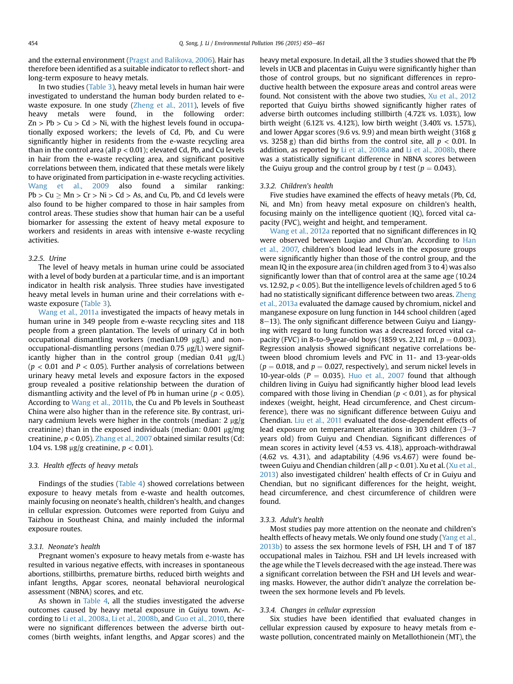and the external environment [\(Pragst and Balikova, 2006](#page-10-0)). Hair has therefore been identified as a suitable indicator to reflect short- and long-term exposure to heavy metals.

In two studies [\(Table 3](#page-6-0)), heavy metal levels in human hair were investigated to understand the human body burden related to ewaste exposure. In one study [\(Zheng et al., 2011](#page-11-0)), levels of five heavy metals were found, in the following order:  $Zn > Pb > Cu > Cd > Ni$ , with the highest levels found in occupationally exposed workers; the levels of Cd, Pb, and Cu were significantly higher in residents from the e-waste recycling area than in the control area (all  $p < 0.01$ ); elevated Cd, Pb, and Cu levels in hair from the e-waste recycling area, and significant positive correlations between them, indicated that these metals were likely to have originated from participation in e-waste recycling activities. [Wang et al., 2009](#page-10-0) also found a similar ranking:  $Pb > Cu > Mn > Cr > Ni > Cd > As$ , and Cu, Pb, and Cd levels were also found to be higher compared to those in hair samples from control areas. These studies show that human hair can be a useful biomarker for assessing the extent of heavy metal exposure to workers and residents in areas with intensive e-waste recycling activities.

# 3.2.5. Urine

The level of heavy metals in human urine could be associated with a level of body burden at a particular time, and is an important indicator in health risk analysis. Three studies have investigated heavy metal levels in human urine and their correlations with ewaste exposure [\(Table 3](#page-6-0)).

[Wang et al., 2011a](#page-10-0) investigated the impacts of heavy metals in human urine in 349 people from e-waste recycling sites and 118 people from a green plantation. The levels of urinary Cd in both occupational dismantling workers (median1.09  $\mu$ g/L) and nonoccupational-dismantling persons (median  $0.75 \mu g/L$ ) were significantly higher than in the control group (median  $0.41 \mu g/L$ )  $(p < 0.01$  and  $P < 0.05$ ). Further analysis of correlations between urinary heavy metal levels and exposure factors in the exposed group revealed a positive relationship between the duration of dismantling activity and the level of Pb in human urine ( $p < 0.05$ ). According to [Wang et al., 2011b,](#page-10-0) the Cu and Pb levels in Southeast China were also higher than in the reference site. By contrast, urinary cadmium levels were higher in the controls (median:  $2 \mu g/g$ creatinine) than in the exposed individuals (median:  $0.001 \mu g/mg$ creatinine, p < 0.05). [Zhang et al., 2007](#page-10-0) obtained similar results (Cd: 1.04 vs. 1.98  $\mu$ g/g creatinine,  $p < 0.01$ ).

# 3.3. Health effects of heavy metals

Findings of the studies ([Table 4](#page-8-0)) showed correlations between exposure to heavy metals from e-waste and health outcomes, mainly focusing on neonate's health, children's health, and changes in cellular expression. Outcomes were reported from Guiyu and Taizhou in Southeast China, and mainly included the informal exposure routes.

# 3.3.1. Neonate's health

Pregnant women's exposure to heavy metals from e-waste has resulted in various negative effects, with increases in spontaneous abortions, stillbirths, premature births, reduced birth weights and infant lengths, Apgar scores, neonatal behavioral neurological assessment (NBNA) scores, and etc.

As shown in [Table 4](#page-8-0), all the studies investigated the adverse outcomes caused by heavy metal exposure in Guiyu town. According to [Li et al., 2008a, Li et al., 2008b,](#page-10-0) and [Guo et al., 2010](#page-9-0), there were no significant differences between the adverse birth outcomes (birth weights, infant lengths, and Apgar scores) and the heavy metal exposure. In detail, all the 3 studies showed that the Pb levels in UCB and placentas in Guiyu were significantly higher than those of control groups, but no significant differences in reproductive health between the exposure areas and control areas were found. Not consistent with the above two studies, [Xu et al., 2012](#page-10-0) reported that Guiyu births showed significantly higher rates of adverse birth outcomes including stillbirth (4.72% vs. 1.03%), low birth weight (6.12% vs. 4.12%), low birth weight (3.40% vs. 1.57%), and lower Apgar scores (9.6 vs. 9.9) and mean birth weight (3168 g vs. 3258 g) than did births from the control site, all  $p < 0.01$ . In addition, as reported by [Li et al., 2008a](#page-10-0) and [Li et al., 2008b](#page-10-0), there was a statistically significant difference in NBNA scores between the Guiyu group and the control group by t test ( $p = 0.043$ ).

#### 3.3.2. Children's health

Five studies have examined the effects of heavy metals (Pb, Cd, Ni, and Mn) from heavy metal exposure on children's health, focusing mainly on the intelligence quotient (IQ), forced vital capacity (FVC), weight and height, and temperament.

[Wang et al., 2012a](#page-10-0) reported that no significant differences in IQ were observed between Luqiao and Chun'an. According to [Han](#page-9-0) [et al., 2007,](#page-9-0) children's blood lead levels in the exposure groups were significantly higher than those of the control group, and the mean IQ in the exposure area (in children aged from 3 to 4) was also significantly lower than that of control area at the same age (10.24 vs. 12.92,  $p < 0.05$ ). But the intelligence levels of children aged 5 to 6 had no statistically significant difference between two areas. [Zheng](#page-11-0) [et al., 2013a](#page-11-0) evaluated the damage caused by chromium, nickel and manganese exposure on lung function in 144 school children (aged  $8-13$ ). The only significant difference between Guiyu and Liangying with regard to lung function was a decreased forced vital capacity (FVC) in 8-to-9-year-old boys (1859 vs. 2,121 ml,  $p = 0.003$ ). Regression analysis showed significant negative correlations between blood chromium levels and FVC in 11- and 13-year-olds  $(p = 0.018$ , and  $p = 0.027$ , respectively), and serum nickel levels in 10-year-olds ( $P = 0.035$ ). [Huo et al., 2007](#page-10-0) found that although children living in Guiyu had significantly higher blood lead levels compared with those living in Chendian ( $p < 0.01$ ), as for physical indexes (weight, height, Head circumference, and Chest circumference), there was no significant difference between Guiyu and Chendian. [Liu et al., 2011](#page-10-0) evaluated the dose-dependent effects of lead exposure on temperament alterations in 303 children  $(3-7)$ years old) from Guiyu and Chendian. Significant differences of mean scores in activity level (4.53 vs. 4.18), approach-withdrawal (4.62 vs. 4.31), and adaptability (4.96 vs.4.67) were found between Guiyu and Chendian children (all  $p < 0.01$ ). Xu et al. [\(Xu et al.,](#page-10-0) [2013\)](#page-10-0) also investigated children' health effects of Cr in Guiyu and Chendian, but no significant differences for the height, weight, head circumference, and chest circumference of children were found.

# 3.3.3. Adult's health

Most studies pay more attention on the neonate and children's health effects of heavy metals. We only found one study ([Yang et al.,](#page-10-0) [2013b\)](#page-10-0) to assess the sex hormone levels of FSH, LH and T of 187 occupational males in Taizhou. FSH and LH levels increased with the age while the T levels decreased with the age instead. There was a significant correlation between the FSH and LH levels and wearing masks. However, the author didn't analyze the correlation between the sex hormone levels and Pb levels.

# 3.3.4. Changes in cellular expression

Six studies have been identified that evaluated changes in cellular expression caused by exposure to heavy metals from ewaste pollution, concentrated mainly on Metallothionein (MT), the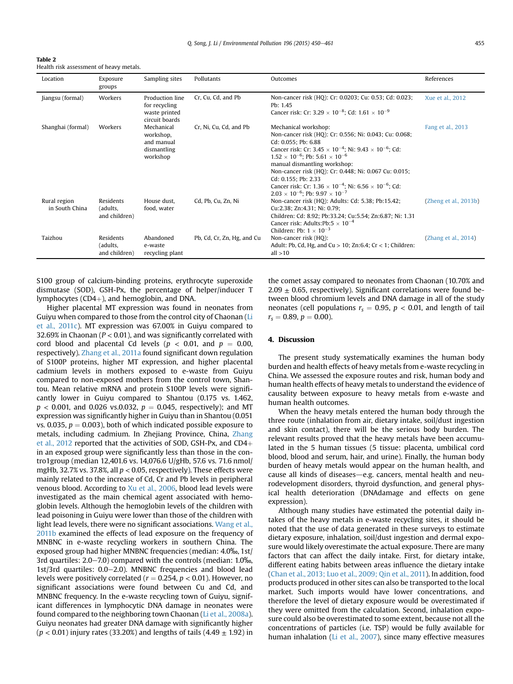<span id="page-5-0"></span>Table 2 Health risk assessment of heavy metals.

| Location                       | Exposure<br>groups                     | Sampling sites                                                      | Pollutants                 | Outcomes                                                                                                                                                                                                                                                                                                                                                                                                                                                                                                                    | References            |
|--------------------------------|----------------------------------------|---------------------------------------------------------------------|----------------------------|-----------------------------------------------------------------------------------------------------------------------------------------------------------------------------------------------------------------------------------------------------------------------------------------------------------------------------------------------------------------------------------------------------------------------------------------------------------------------------------------------------------------------------|-----------------------|
| Jiangsu (formal)               | Workers                                | Production line<br>for recycling<br>waste printed<br>circuit boards | Cr, Cu, Cd, and Pb         | Non-cancer risk (HQ): Cr: 0.0203; Cu: 0.53; Cd: 0.023;<br>Pb: 1.45<br>Cancer risk: Cr: 3.29 $\times$ 10 <sup>-8</sup> : Cd: 1.61 $\times$ 10 <sup>-9</sup>                                                                                                                                                                                                                                                                                                                                                                  | Xue et al., 2012      |
| Shanghai (formal)              | Workers                                | Mechanical<br>workshop,<br>and manual<br>dismantling<br>workshop    | Cr, Ni, Cu, Cd, and Pb     | Mechanical workshop:<br>Non-cancer risk (HQ): Cr: 0.556; Ni: 0.043; Cu: 0.068;<br>Cd: 0.055; Pb: 6.88<br>Cancer risk: Cr: 3.45 $\times$ 10 <sup>-4</sup> ; Ni: 9.43 $\times$ 10 <sup>-6</sup> ; Cd:<br>$1.52 \times 10^{-6}$ ; Pb: 5.61 $\times 10^{-6}$<br>manual dismantling workshop:<br>Non-cancer risk (HQ): Cr: 0.448; Ni: 0.067 Cu: 0.015;<br>Cd: 0.155; Pb: 2.33<br>Cancer risk: Cr: 1.36 $\times$ 10 <sup>-4</sup> ; Ni: 6.56 $\times$ 10 <sup>-6</sup> ; Cd:<br>$2.03 \times 10^{-6}$ ; Pb: 9.97 $\times 10^{-7}$ | Fang et al., 2013     |
| Rural region<br>in South China | Residents<br>(adults,<br>and children) | House dust,<br>food, water                                          | Cd. Pb. Cu. Zn. Ni         | Non-cancer risk (HQ): Adults: Cd: 5.38; Pb:15.42;<br>Cu:2.38; Zn:4.31; Ni: 0.79;<br>Children: Cd: 8.92; Pb:33.24; Cu:5.54; Zn:6.87; Ni: 1.31<br>Cancer risk: Adults:Pb:5 $\times$ 10 <sup>-4</sup><br>Children: Pb: $1 \times 10^{-3}$                                                                                                                                                                                                                                                                                      | (Zheng et al., 2013b) |
| Taizhou                        | Residents<br>(adults,<br>and children) | Abandoned<br>e-waste<br>recycling plant                             | Pb, Cd, Cr, Zn, Hg, and Cu | Non-cancer risk (HQ):<br>Adult: Pb, Cd, Hg, and Cu $> 10$ ; Zn:6.4; Cr < 1; Children:<br>all > 10                                                                                                                                                                                                                                                                                                                                                                                                                           | (Zhang et al., 2014)  |

S100 group of calcium-binding proteins, erythrocyte superoxide dismutase (SOD), GSH-Px, the percentage of helper/inducer T lymphocytes  $(CD4+)$ , and hemoglobin, and DNA.

Higher placental MT expression was found in neonates from Guiyu when compared to those from the control city of Chaonan [\(Li](#page-10-0) [et al., 2011c\)](#page-10-0). MT expression was 67.00% in Guiyu compared to 32.69% in Chaonan ( $P < 0.01$ ), and was significantly correlated with cord blood and placental Cd levels ( $p < 0.01$ , and  $p = 0.00$ , respectively). [Zhang et al., 2011a](#page-10-0) found significant down regulation of S100P proteins, higher MT expression, and higher placental cadmium levels in mothers exposed to e-waste from Guiyu compared to non-exposed mothers from the control town, Shantou. Mean relative mRNA and protein S100P levels were significantly lower in Guiyu compared to Shantou (0.175 vs. 1.462,  $p < 0.001$ , and 0.026 vs.0.032,  $p = 0.045$ , respectively); and MT expression was significantly higher in Guiyu than in Shantou (0.051 vs. 0.035,  $p = 0.003$ ), both of which indicated possible exposure to metals, including cadmium. In Zhejiang Province, China, [Zhang](#page-10-0) [et al., 2012](#page-10-0) reported that the activities of SOD, GSH-Px, and  $CD4+$ in an exposed group were significantly less than those in the contro1group (median 12,401.6 vs. 14,076.6 U/gHb, 57.6 vs. 71.6 nmol/ mgHb, 32.7% vs. 37.8%, all  $p < 0.05$ , respectively). These effects were mainly related to the increase of Cd, Cr and Pb levels in peripheral venous blood. According to [Xu et al., 2006,](#page-10-0) blood lead levels were investigated as the main chemical agent associated with hemoglobin levels. Although the hemoglobin levels of the children with lead poisoning in Guiyu were lower than those of the children with light lead levels, there were no significant associations. [Wang et al.,](#page-10-0) [2011b](#page-10-0) examined the effects of lead exposure on the frequency of MNBNC in e-waste recycling workers in southern China. The exposed group had higher MNBNC frequencies (median: 4.0‰, 1st/ 3rd quartiles:  $2.0-7.0$ ) compared with the controls (median:  $1.0\%$ <sub>0</sub>, 1st/3rd quartiles:  $0.0-2.0$ ). MNBNC frequencies and blood lead levels were positively correlated ( $r = 0.254$ ,  $p < 0.01$ ). However, no significant associations were found between Cu and Cd, and MNBNC frequency. In the e-waste recycling town of Guiyu, significant differences in lymphocytic DNA damage in neonates were found compared to the neighboring town Chaonan ([Li et al., 2008a\)](#page-10-0). Guiyu neonates had greater DNA damage with significantly higher  $(p < 0.01)$  injury rates (33.20%) and lengths of tails (4.49  $\pm$  1.92) in the comet assay compared to neonates from Chaonan (10.70% and  $2.09 \pm 0.65$ , respectively). Significant correlations were found between blood chromium levels and DNA damage in all of the study neonates (cell populations  $r_s = 0.95$ ,  $p < 0.01$ , and length of tail  $r_s = 0.89$ ,  $p = 0.00$ ).

# 4. Discussion

The present study systematically examines the human body burden and health effects of heavy metals from e-waste recycling in China. We assessed the exposure routes and risk, human body and human health effects of heavy metals to understand the evidence of causality between exposure to heavy metals from e-waste and human health outcomes.

When the heavy metals entered the human body through the three route (inhalation from air, dietary intake, soil/dust ingestion and skin contact), there will be the serious body burden. The relevant results proved that the heavy metals have been accumulated in the 5 human tissues (5 tissue: placenta, umbilical cord blood, blood and serum, hair, and urine). Finally, the human body burden of heavy metals would appear on the human health, and cause all kinds of diseases-e.g. cancers, mental health and neurodevelopment disorders, thyroid dysfunction, and general physical health deterioration (DNAdamage and effects on gene expression).

Although many studies have estimated the potential daily intakes of the heavy metals in e-waste recycling sites, it should be noted that the use of data generated in these surveys to estimate dietary exposure, inhalation, soil/dust ingestion and dermal exposure would likely overestimate the actual exposure. There are many factors that can affect the daily intake. First, for dietary intake, different eating habits between areas influence the dietary intake ([Chan et al., 2013; Luo et al., 2009; Qin et al., 2011](#page-9-0)). In addition, food products produced in other sites can also be transported to the local market. Such imports would have lower concentrations, and therefore the level of dietary exposure would be overestimated if they were omitted from the calculation. Second, inhalation exposure could also be overestimated to some extent, because not all the concentrations of particles (i.e. TSP) would be fully available for human inhalation ([Li et al., 2007\)](#page-10-0), since many effective measures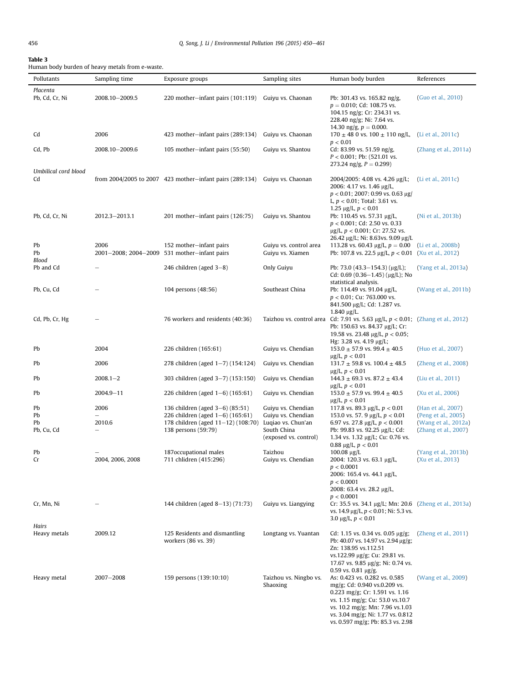# <span id="page-6-0"></span>Table 3

Human body burden of heavy metals from e-waste.

| Pollutants                 | Sampling time    | Exposure groups                                                                 | Sampling sites                             | Human body burden                                                                                                                                                                                                                               | References                                   |
|----------------------------|------------------|---------------------------------------------------------------------------------|--------------------------------------------|-------------------------------------------------------------------------------------------------------------------------------------------------------------------------------------------------------------------------------------------------|----------------------------------------------|
| Placenta                   |                  |                                                                                 |                                            |                                                                                                                                                                                                                                                 |                                              |
| Pb, Cd, Cr, Ni             | 2008.10-2009.5   | 220 mother-infant pairs (101:119) Guiyu vs. Chaonan                             |                                            | Pb: 301.43 vs. 165.82 ng/g,<br>$p = 0.010$ ; Cd: 108.75 vs.<br>104.15 ng/g; Cr: 234.31 vs.<br>228.40 ng/g; Ni: 7.64 vs.<br>14.30 ng/g, $p = 0.000$ .                                                                                            | (Guo et al., 2010)                           |
| Cd                         | 2006             | 423 mother-infant pairs (289:134)                                               | Guiyu vs. Chaonan                          | $170 \pm 48$ 0 vs. $100 \pm 110$ ng/L,<br>p < 0.01                                                                                                                                                                                              | (Li et al., 2011c)                           |
| Cd, Pb                     | 2008.10-2009.6   | 105 mother-infant pairs (55:50)                                                 | Guiyu vs. Shantou                          | Cd: 83.99 vs. 51.59 ng/g,<br>$P < 0.001$ ; Pb: (521.01 vs.<br>273.24 ng/g, $P = 0.299$ )                                                                                                                                                        | (Zhang et al., 2011a)                        |
| Umbilical cord blood<br>Cd |                  | from $2004/2005$ to $2007$ 423 mother-infant pairs $(289.134)$                  | Guiyu vs. Chaonan                          | 2004/2005: 4.08 vs. 4.26 μg/L;<br>2006: 4.17 vs. 1.46 µg/L,<br>$p < 0.01$ ; 2007: 0.99 vs. 0.63 µg/<br>L, $p < 0.01$ ; Total: 3.61 vs.<br>1.25 $\mu$ g/L, p < 0.01                                                                              | (Li et al., 2011c)                           |
| Pb, Cd, Cr, Ni             | 2012.3-2013.1    | 201 mother-infant pairs (126:75)                                                | Guiyu vs. Shantou                          | Pb: 110.45 vs. 57.31 µg/L,<br>$p < 0.001$ ; Cd: 2.50 vs. 0.33<br>$\mu$ g/L, p < 0.001; Cr: 27.52 vs.<br>26.42 μg/L; Ni: 8.63vs. 9.09 μg/L                                                                                                       | (Ni et al., 2013b)                           |
| Pb<br>Pb<br>Blood          | 2006             | 152 mother-infant pairs<br>2001-2008; 2004-2009 531 mother-infant pairs         | Guiyu vs. control area<br>Guiyu vs. Xiamen | 113.28 vs. 60.43 $\mu$ g/L, $p = 0.00$ (Li et al., 2008b)<br>Pb: 107.8 vs. 22.5 $\mu$ g/L, $p < 0.01$ (Xu et al., 2012)                                                                                                                         |                                              |
| Pb and Cd                  |                  | 246 children (aged $3-8$ )                                                      | Only Guiyu                                 | Pb: 73.0 $(43.3-154.3)$ $(\mu$ g/L);<br>Cd: 0.69 $(0.36-1.45)$ ( $\mu$ g/L); No                                                                                                                                                                 | (Yang et al., 2013a)                         |
| Pb, Cu, Cd                 |                  | 104 persons (48:56)                                                             | Southeast China                            | statistical analysis.<br>Pb: 114.49 vs. 91.04 µg/L,<br>$p < 0.01$ ; Cu: 763.000 vs.<br>841.500 μg/L; Cd: 1.287 vs.<br>1.840 µg/L.                                                                                                               | (Wang et al., 2011b)                         |
| Cd, Pb, Cr, Hg             |                  | 76 workers and residents (40:36)                                                |                                            | Taizhou vs. control area Cd: 7.91 vs. 5.63 $\mu$ g/L, $p < 0.01$ ; (Zhang et al., 2012)<br>Pb: 150.63 vs. 84.37 µg/L; Cr:<br>19.58 vs. 23.48 $\mu$ g/L, p < 0.05;                                                                               |                                              |
| Pb                         | 2004             | 226 children (165:61)                                                           | Guiyu vs. Chendian                         | Hg: 3.28 vs. 4.19 μg/L;<br>$153.0 \pm 57.9$ vs. $99.4 \pm 40.5$<br>$\mu$ g/L, p < 0.01                                                                                                                                                          | (Huo et al., 2007)                           |
| Pb                         | 2006             | 278 children (aged $1-7$ ) (154:124)                                            | Guiyu vs. Chendian                         | $131.7 \pm 59.8$ vs. $100.4 \pm 48.5$<br>$\mu$ g/L, $p < 0.01$                                                                                                                                                                                  | (Zheng et al., 2008)                         |
| Pb                         | $2008.1 - 2$     | 303 children (aged 3-7) (153:150)                                               | Guiyu vs. Chendian                         | $144.3 \pm 69.3$ vs. $87.2 \pm 43.4$<br>$\mu$ g/L, p < 0.01                                                                                                                                                                                     | (Liu et al., 2011)                           |
| Pb                         | $2004.9 - 11$    | 226 children (aged $1-6$ ) (165:61)                                             | Guiyu vs. Chendian                         | $153.0 \pm 57.9$ vs. 99.4 $\pm$ 40.5<br>$\mu$ g/L, p < 0.01                                                                                                                                                                                     | (Xu et al., 2006)                            |
| Рb<br>Pb                   | 2006             | 136 children (aged $3-6$ ) (85:51)<br>226 children (aged $1-6$ ) (165:61)       | Guiyu vs. Chendian<br>Guiyu vs. Chendian   | 117.8 vs. 89.3 $\mu$ g/L, p < 0.01<br>153.0 vs. 57. 9 $\mu$ g/L, $p < 0.01$                                                                                                                                                                     | (Han et al., 2007)<br>(Peng et al., 2005)    |
| Pb<br>Pb, Cu, Cd           | 2010.6<br>-      | 178 children (aged $11-12$ ) (108:70) Luqiao vs. Chun'an<br>138 persons (59:79) | South China<br>(exposed vs. control)       | 6.97 vs. 27.8 $\mu$ g/L, p < 0.001<br>Pb: 99.83 vs. 92.25 µg/L; Cd:<br>1.34 vs. 1.32 µg/L; Cu: 0.76 vs.<br>0.88 $\mu$ g/L, p < 0.01                                                                                                             | (Wang et al., 2012a)<br>(Zhang et al., 2007) |
| Pb<br>Cr                   | 2004, 2006, 2008 | 187 occupational males<br>711 chlidren (415:296)                                | Taizhou<br>Guiyu vs. Chendian              | $100.08 \text{ µg/L}$<br>2004: 120.3 vs. 63.1 μg/L,<br>p < 0.0001<br>2006: 165.4 vs. 44.1 μg/L,<br>p < 0.0001<br>2008: 63.4 vs. 28.2 µg/L,<br>p < 0.0001                                                                                        | (Yang et al., 2013b)<br>(Xu et al., 2013)    |
| Cr, Mn, Ni                 |                  | 144 children (aged 8-13) (71:73)                                                | Guiyu vs. Liangying                        | Cr: 35.5 vs. 34.1 µg/L; Mn: 20.6 (Zheng et al., 2013a)<br>vs. 14.9 $\mu$ g/L, $p < 0.01$ ; Ni: 5.3 vs.<br>3.0 $\mu$ g/L, p < 0.01                                                                                                               |                                              |
| Hairs<br>Heavy metals      | 2009.12          | 125 Residents and dismantling<br>workers (86 vs. 39)                            | Longtang vs. Yuantan                       | Cd: 1.15 vs. 0.34 vs. 0.05 $\mu$ g/g;<br>Pb: 40.07 vs. 14.97 vs. 2.94 µg/g;<br>Zn: 138.95 vs.112.51<br>vs.122.99 μg/g; Cu: 29.81 vs.<br>17.67 vs. 9.85 µg/g; Ni: 0.74 vs.<br>$0.59$ vs. $0.81$ µg/g.                                            | (Zheng et al., 2011)                         |
| Heavy metal                | 2007-2008        | 159 persons (139:10:10)                                                         | Taizhou vs. Ningbo vs.<br>Shaoxing         | As: 0.423 vs. 0.282 vs. 0.585<br>mg/g; Cd: 0.940 vs.0.209 vs.<br>0.223 mg/g; Cr: 1.591 vs. 1.16<br>vs. 1.15 mg/g; Cu: 53.0 vs.10.7<br>vs. 10.2 mg/g; Mn: 7.96 vs.1.03<br>vs. 3.04 mg/g; Ni: 1.77 vs. 0.812<br>vs. 0.597 mg/g; Pb: 85.3 vs. 2.98 | (Wang et al., 2009)                          |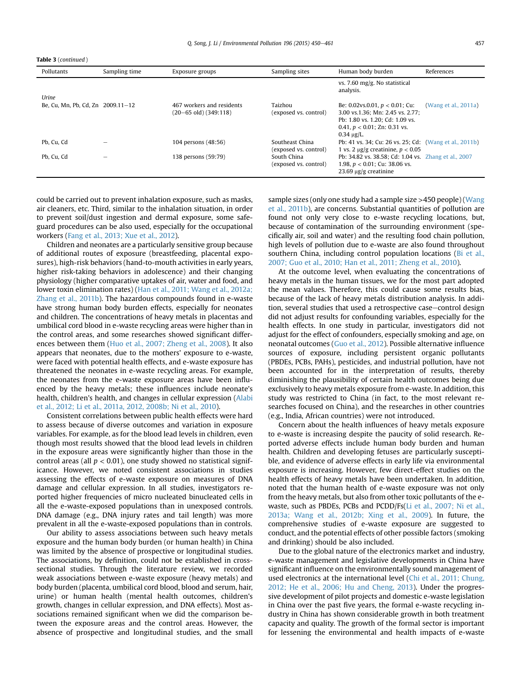Table 3 (continued )

| Pollutants                            | Sampling time | Exposure groups                                          | Sampling sites                           | Human body burden                                                                                                                                                    | References           |
|---------------------------------------|---------------|----------------------------------------------------------|------------------------------------------|----------------------------------------------------------------------------------------------------------------------------------------------------------------------|----------------------|
| Urine                                 |               |                                                          |                                          | vs. 7.60 mg/g. No statistical<br>analysis.                                                                                                                           |                      |
| Be, Cu, Mn, Pb, Cd, Zn $2009.11 - 12$ |               | 467 workers and residents<br>$(20 - 65$ old) $(349:118)$ | Taizhou<br>(exposed vs. control)         | Be: $0.02$ vs. $0.01$ , $p < 0.01$ ; Cu:<br>3.00 vs.1.36: Mn: 2.45 vs. 2.77:<br>Pb: 1.80 vs. 1.20; Cd: 1.09 vs.<br>0.41, $p < 0.01$ ; Zn: 0.31 vs.<br>$0.34 \mu g/L$ | (Wang et al., 2011a) |
| Pb, Cu, Cd                            |               | 104 persons (48:56)                                      | Southeast China<br>(exposed vs. control) | Pb: 41 vs. 34; Cu: 26 vs. 25; Cd: (Wang et al., 2011b)<br>1 vs. 2 $\mu$ g/g creatinine, $p < 0.05$                                                                   |                      |
| Pb, Cu, Cd                            |               | 138 persons (59:79)                                      | South China<br>(exposed vs. control)     | Pb: 34.82 vs. 38.58; Cd: 1.04 vs. Zhang et al., 2007<br>1.98, $p < 0.01$ ; Cu; 38.06 vs.<br>$23.69 \text{ µg/g}$ creatinine                                          |                      |

could be carried out to prevent inhalation exposure, such as masks, air cleaners, etc. Third, similar to the inhalation situation, in order to prevent soil/dust ingestion and dermal exposure, some safeguard procedures can be also used, especially for the occupational workers ([Fang et al., 2013; Xue et al., 2012](#page-9-0)).

Children and neonates are a particularly sensitive group because of additional routes of exposure (breastfeeding, placental exposures), high-risk behaviors (hand-to-mouth activities in early years, higher risk-taking behaviors in adolescence) and their changing physiology (higher comparative uptakes of air, water and food, and lower toxin elimination rates) ([Han et al., 2011; Wang et al., 2012a;](#page-10-0) [Zhang et al., 2011b\)](#page-10-0). The hazardous compounds found in e-waste have strong human body burden effects, especially for neonates and children. The concentrations of heavy metals in placentas and umbilical cord blood in e-waste recycling areas were higher than in the control areas, and some researches showed significant differences between them ([Huo et al., 2007; Zheng et al., 2008\)](#page-10-0). It also appears that neonates, due to the mothers' exposure to e-waste, were faced with potential health effects, and e-waste exposure has threatened the neonates in e-waste recycling areas. For example, the neonates from the e-waste exposure areas have been influenced by the heavy metals; these influences include neonate's health, children's health, and changes in cellular expression [\(Alabi](#page-9-0) [et al., 2012; Li et al., 2011a, 2012, 2008b; Ni et al., 2010\)](#page-9-0).

Consistent correlations between public health effects were hard to assess because of diverse outcomes and variation in exposure variables. For example, as for the blood lead levels in children, even though most results showed that the blood lead levels in children in the exposure areas were significantly higher than those in the control areas (all  $p < 0.01$ ), one study showed no statistical significance. However, we noted consistent associations in studies assessing the effects of e-waste exposure on measures of DNA damage and cellular expression. In all studies, investigators reported higher frequencies of micro nucleated binucleated cells in all the e-waste-exposed populations than in unexposed controls. DNA damage (e.g., DNA injury rates and tail length) was more prevalent in all the e-waste-exposed populations than in controls.

Our ability to assess associations between such heavy metals exposure and the human body burden (or human health) in China was limited by the absence of prospective or longitudinal studies. The associations, by definition, could not be established in crosssectional studies. Through the literature review, we recorded weak associations between e-waste exposure (heavy metals) and body burden (placenta, umbilical cord blood, blood and serum, hair, urine) or human health (mental health outcomes, children's growth, changes in cellular expression, and DNA effects). Most associations remained significant when we did the comparison between the exposure areas and the control areas. However, the absence of prospective and longitudinal studies, and the small sample sizes (only one study had a sample size >450 people) ([Wang](#page-10-0) [et al., 2011b\)](#page-10-0), are concerns. Substantial quantities of pollution are found not only very close to e-waste recycling locations, but, because of contamination of the surrounding environment (specifically air, soil and water) and the resulting food chain pollution, high levels of pollution due to e-waste are also found throughout southern China, including control population locations [\(Bi et al.,](#page-9-0) [2007; Guo et al., 2010; Han et al., 2011; Zheng et al., 2010\)](#page-9-0).

At the outcome level, when evaluating the concentrations of heavy metals in the human tissues, we for the most part adopted the mean values. Therefore, this could cause some results bias, because of the lack of heavy metals distribution analysis. In addition, several studies that used a retrospective case–control design did not adjust results for confounding variables, especially for the health effects. In one study in particular, investigators did not adjust for the effect of confounders, especially smoking and age, on neonatal outcomes [\(Guo et al., 2012\)](#page-9-0). Possible alternative influence sources of exposure, including persistent organic pollutants (PBDEs, PCBs, PAHs), pesticides, and industrial pollution, have not been accounted for in the interpretation of results, thereby diminishing the plausibility of certain health outcomes being due exclusively to heavy metals exposure from e-waste. In addition, this study was restricted to China (in fact, to the most relevant researches focused on China), and the researches in other countries (e.g., India, African countries) were not introduced.

Concern about the health influences of heavy metals exposure to e-waste is increasing despite the paucity of solid research. Reported adverse effects include human body burden and human health. Children and developing fetuses are particularly susceptible, and evidence of adverse effects in early life via environmental exposure is increasing. However, few direct-effect studies on the health effects of heavy metals have been undertaken. In addition, noted that the human health of e-waste exposure was not only from the heavy metals, but also from other toxic pollutants of the ewaste, such as PBDEs, PCBs and PCDD/Fs([Li et al., 2007; Ni et al.,](#page-10-0) [2013a; Wang et al., 2012b; Xing et al., 2009\)](#page-10-0). In future, the comprehensive studies of e-waste exposure are suggested to conduct, and the potential effects of other possible factors (smoking and drinking) should be also included.

Due to the global nature of the electronics market and industry, e-waste management and legislative developments in China have significant influence on the environmentally sound management of used electronics at the international level [\(Chi et al., 2011; Chung,](#page-9-0) [2012; He et al., 2006; Hu and Cheng, 2013\)](#page-9-0). Under the progressive development of pilot projects and domestic e-waste legislation in China over the past five years, the formal e-waste recycling industry in China has shown considerable growth in both treatment capacity and quality. The growth of the formal sector is important for lessening the environmental and health impacts of e-waste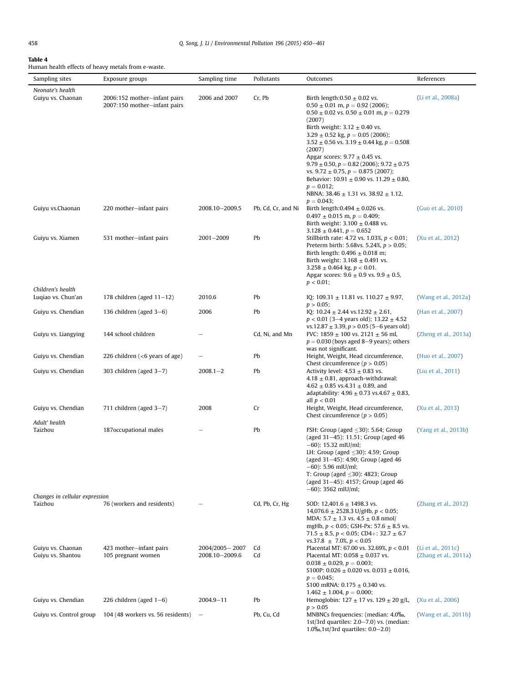# <span id="page-8-0"></span>Table 4

Human health effects of heavy metals from e-waste.

| Sampling sites                                             | Exposure groups                                              | Sampling time                    | Pollutants         | Outcomes                                                                                                                                                                                                                                                                                                                                                                                                                                                                                                                                                                    | References                                  |
|------------------------------------------------------------|--------------------------------------------------------------|----------------------------------|--------------------|-----------------------------------------------------------------------------------------------------------------------------------------------------------------------------------------------------------------------------------------------------------------------------------------------------------------------------------------------------------------------------------------------------------------------------------------------------------------------------------------------------------------------------------------------------------------------------|---------------------------------------------|
| Neonate's health<br>Guiyu vs. Chaonan                      | 2006:152 mother-infant pairs<br>2007:150 mother-infant pairs | 2006 and 2007                    | Cr, Pb             | Birth length: $0.50 \pm 0.02$ vs.<br>$0.50 \pm 0.01$ m, $p = 0.92$ (2006);<br>$0.50 \pm 0.02$ vs. $0.50 \pm 0.01$ m, $p = 0.279$<br>(2007)<br>Birth weight: $3.12 \pm 0.40$ vs.<br>$3.29 \pm 0.52$ kg, $p = 0.05$ (2006);<br>$3.52 \pm 0.56$ vs. $3.19 \pm 0.44$ kg, $p = 0.508$<br>(2007)<br>Apgar scores: $9.77 \pm 0.45$ vs.<br>$9.79 \pm 0.50$ , $p = 0.82$ (2006); $9.72 \pm 0.75$<br>vs. $9.72 \pm 0.75$ , $p = 0.875$ (2007);<br>Behavior: $10.91 \pm 0.90$ vs. $11.29 \pm 0.80$ ,<br>$p = 0.012$ ;<br>NBNA; $38.46 \pm 1.31$ vs. $38.92 \pm 1.12$ ,<br>$p = 0.043;$ | (Li et al., 2008a)                          |
| Guiyu vs.Chaonan                                           | 220 mother-infant pairs                                      | 2008.10-2009.5                   | Pb, Cd, Cr, and Ni | Birth length: $0.494 \pm 0.026$ vs.<br>$0.497 \pm 0.015$ m, $p = 0.409$ ;<br>Birth weight: $3.100 \pm 0.488$ vs.<br>$3.128 \pm 0.441$ , $p = 0.652$                                                                                                                                                                                                                                                                                                                                                                                                                         | (Guo et al., 2010)                          |
| Guiyu vs. Xiamen                                           | 531 mother-infant pairs                                      | $2001 - 2009$                    | Pb                 | Stillbirth rate: 4.72 vs. 1.03%, $p < 0.01$ ;<br>Preterm birth: 5.68vs. 5.24%, $p > 0.05$ ;<br>Birth length: $0.496 \pm 0.018$ m;<br>Birth weight: $3.168 \pm 0.491$ vs.<br>$3.258 \pm 0.464$ kg, $p < 0.01$ .<br>Apgar scores: $9.6 \pm 0.9$ vs. $9.9 \pm 0.5$ ,<br>$p < 0.01$ ;                                                                                                                                                                                                                                                                                           | (Xu et al., 2012)                           |
| Children's health<br>Luqiao vs. Chun'an                    | 178 children (aged $11-12$ )                                 | 2010.6                           | Pb                 | IQ: $109.31 \pm 11.81$ vs. $110.27 \pm 9.97$ ,<br>$p > 0.05$ ;                                                                                                                                                                                                                                                                                                                                                                                                                                                                                                              | (Wang et al., 2012a)                        |
| Guiyu vs. Chendian                                         | 136 children (aged $3-6$ )                                   | 2006                             | Pb                 | IQ: $10.24 \pm 2.44$ vs.12.92 $\pm 2.61$ ,<br>$p < 0.01$ (3–4 years old); 13.22 $\pm$ 4.52<br>vs.12.87 $\pm$ 3.39, $p > 0.05$ (5–6 years old)                                                                                                                                                                                                                                                                                                                                                                                                                               | (Han et al., 2007)                          |
| Guiyu vs. Liangying                                        | 144 school children                                          |                                  | Cd, Ni, and Mn     | FVC: $1859 \pm 100$ vs. $2121 \pm 56$ ml,<br>$p = 0.030$ (boys aged 8–9 years); others<br>was not significant.                                                                                                                                                                                                                                                                                                                                                                                                                                                              | (Zheng et al., 2013a)                       |
| Guiyu vs. Chendian                                         | 226 children ( $<$ 6 years of age)                           |                                  | Pb                 | Height, Weight, Head circumference,<br>Chest circumference ( $p > 0.05$ )                                                                                                                                                                                                                                                                                                                                                                                                                                                                                                   | (Huo et al., 2007)                          |
| Guiyu vs. Chendian                                         | 303 children (aged $3-7$ )                                   | $2008.1 - 2$                     | Pb                 | Activity level: $4.53 \pm 0.83$ vs.<br>$4.18 \pm 0.81$ , approach-withdrawal:<br>$4.62 \pm 0.85$ vs.4.31 $\pm$ 0.89, and<br>adaptability: $4.96 \pm 0.73$ vs. $4.67 \pm 0.83$ ,<br>all $p < 0.01$                                                                                                                                                                                                                                                                                                                                                                           | (Liu et al., 2011)                          |
| Guiyu vs. Chendian                                         | 711 children (aged $3-7$ )                                   | 2008                             | Cr                 | Height, Weight, Head circumference,<br>Chest circumference ( $p > 0.05$ )                                                                                                                                                                                                                                                                                                                                                                                                                                                                                                   | (Xu et al., 2013)                           |
| Adult' health<br>Taizhou<br>Changes in cellular expression | 187 occupational males                                       |                                  | Pb                 | FSH: Group (aged $<$ 30): 5.64; Group<br>(aged 31-45): 11.51; Group (aged 46<br>$-60$ : 15.32 mIU/ml;<br>LH: Group (aged $\leq$ 30): 4.59; Group<br>(aged 31-45): 4.90; Group (aged 46<br>$-60$ : 5.96 mIU/ml;<br>T: Group (aged $\leq$ 30): 4823; Group<br>(aged 31-45): 4157; Group (aged 46<br>$-60$ : 3562 mIU/ml;                                                                                                                                                                                                                                                      | (Yang et al., 2013b)                        |
| Taizhou                                                    | 76 (workers and residents)                                   |                                  | Cd, Pb, Cr, Hg     | SOD: 12,401.6 $\pm$ 1498.3 vs.<br>14,076.6 $\pm$ 2528.3 U/gHb, $p < 0.05$ ;<br>MDA: $5.7 \pm 1.3$ vs. $4.5 \pm 0.8$ nmol/<br>mgHb, $p < 0.05$ ; GSH-Px: 57.6 $\pm$ 8.5 vs.<br>71.5 $\pm$ 8.5, p < 0.05; CD4+: 32.7 $\pm$ 6.7<br>vs.37.8 $\pm$ 7.0%, $p < 0.05$                                                                                                                                                                                                                                                                                                              | (Zhang et al., 2012)                        |
| Guiyu vs. Chaonan<br>Guiyu vs. Shantou                     | 423 mother-infant pairs<br>105 pregnant women                | 2004/2005-2007<br>2008.10-2009.6 | Cd<br>Cd           | Placental MT: 67.00 vs. 32.69%, $p < 0.01$<br>Placental MT: $0.058 \pm 0.037$ vs.<br>$0.038 \pm 0.029$ , $p = 0.003$ ;<br>S100P: $0.026 \pm 0.020$ vs. $0.033 \pm 0.016$ ,<br>$p = 0.045$ ;<br>S100 mRNA: $0.175 \pm 0.340$ vs.<br>$1.462 \pm 1.004$ , $p = 0.000$ ;                                                                                                                                                                                                                                                                                                        | (Li et al., 2011c)<br>(Zhang et al., 2011a) |
| Guiyu vs. Chendian                                         | 226 children (aged $1-6$ )                                   | $2004.9 - 11$                    | Pb                 | Hemoglobin: $127 \pm 17$ vs. $129 \pm 20$ g/L,<br>p > 0.05                                                                                                                                                                                                                                                                                                                                                                                                                                                                                                                  | (Xu et al., 2006)                           |
| Guiyu vs. Control group                                    | 104 (48 workers vs. 56 residents)                            |                                  | Pb, Cu, Cd         | MNBNCs frequencies: (median: 4.0‰,<br>1st/3rd quartiles: $2.0-7.0$ ) vs. (median:<br>1.0\%,1st/3rd quartiles: $0.0-2.0$ )                                                                                                                                                                                                                                                                                                                                                                                                                                                   | (Wang et al., 2011b)                        |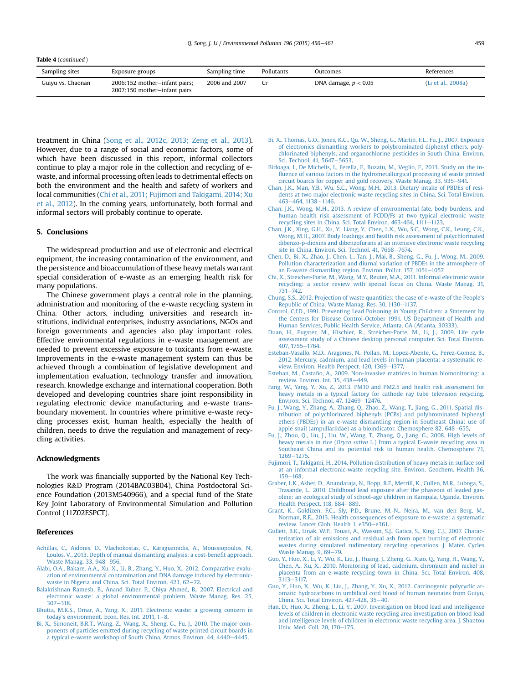<span id="page-9-0"></span>Table 4 (continued )

| Sampling sites    | Exposure groups                                               | Sampling time | Pollutants | Outcomes               | References         |
|-------------------|---------------------------------------------------------------|---------------|------------|------------------------|--------------------|
| Guiyu vs. Chaonan | 2006:152 mother-infant pairs;<br>2007:150 mother-infant pairs | 2006 and 2007 | Cr.        | DNA damage, $p < 0.05$ | (Li et al., 2008a) |

treatment in China [\(Song et al., 2012c, 2013; Zeng et al., 2013\)](#page-10-0). However, due to a range of social and economic factors, some of which have been discussed in this report, informal collectors continue to play a major role in the collection and recycling of ewaste, and informal processing often leads to detrimental effects on both the environment and the health and safety of workers and local communities (Chi et al., 2011; Fujimori and Takigami, 2014; Xu et al., 2012). In the coming years, unfortunately, both formal and informal sectors will probably continue to operate.

# 5. Conclusions

The widespread production and use of electronic and electrical equipment, the increasing contamination of the environment, and the persistence and bioaccumulation of these heavy metals warrant special consideration of e-waste as an emerging health risk for many populations.

The Chinese government plays a central role in the planning, administration and monitoring of the e-waste recycling system in China. Other actors, including universities and research institutions, individual enterprises, industry associations, NGOs and foreign governments and agencies also play important roles. Effective environmental regulations in e-waste management are needed to prevent excessive exposure to toxicants from e-waste. Improvements in the e-waste management system can thus be achieved through a combination of legislative development and implementation evaluation, technology transfer and innovation, research, knowledge exchange and international cooperation. Both developed and developing countries share joint responsibility in regulating electronic device manufacturing and e-waste transboundary movement. In countries where primitive e-waste recycling processes exist, human health, especially the health of children, needs to drive the regulation and management of recycling activities.

# Acknowledgments

The work was financially supported by the National Key Technologies R&D Program (2014BAC03B04), China Postdoctoral Science Foundation (2013M540966), and a special fund of the State Key Joint Laboratory of Environmental Simulation and Pollution Control (11Z02ESPCT).

#### References

- [Achillas, C., Aidonis, D., Vlachokostas, C., Karagiannidis, A., Moussiopoulos, N.,](http://refhub.elsevier.com/S0269-7491(14)00456-4/sref1) [Loulos, V., 2013. Depth of manual dismantling analysis: a cost-bene](http://refhub.elsevier.com/S0269-7491(14)00456-4/sref1)fit approach. [Waste Manag. 33, 948](http://refhub.elsevier.com/S0269-7491(14)00456-4/sref1)-[956.](http://refhub.elsevier.com/S0269-7491(14)00456-4/sref1)
- [Alabi, O.A., Bakare, A.A., Xu, X., Li, B., Zhang, Y., Huo, X., 2012. Comparative evalu](http://refhub.elsevier.com/S0269-7491(14)00456-4/sref2)[ation of environmental contamination and DNA damage induced by electronic](http://refhub.elsevier.com/S0269-7491(14)00456-4/sref2)[waste in Nigeria and China. Sci. Total Environ. 423, 62](http://refhub.elsevier.com/S0269-7491(14)00456-4/sref2)-[72](http://refhub.elsevier.com/S0269-7491(14)00456-4/sref2).
- [Balakrishnan Ramesh, B., Anand Kuber, P., Chiya Ahmed, B., 2007. Electrical and](http://refhub.elsevier.com/S0269-7491(14)00456-4/sref3) [electronic waste: a global environmental problem. Waste Manag. Res. 25,](http://refhub.elsevier.com/S0269-7491(14)00456-4/sref3)  $307 - 318$  $307 - 318$  $307 - 318$
- [Bhutta, M.K.S., Omar, A., Yang, X., 2011. Electronic waste: a growing concern in](http://refhub.elsevier.com/S0269-7491(14)00456-4/sref4) [today's environment. Econ. Res. Int. 2011, 1](http://refhub.elsevier.com/S0269-7491(14)00456-4/sref4)-[8](http://refhub.elsevier.com/S0269-7491(14)00456-4/sref4).
- [Bi, X., Simoneit, B.R.T., Wang, Z., Wang, X., Sheng, G., Fu, J., 2010. The major com](http://refhub.elsevier.com/S0269-7491(14)00456-4/sref5)[ponents of particles emitted during recycling of waste printed circuit boards in](http://refhub.elsevier.com/S0269-7491(14)00456-4/sref5) [a typical e-waste workshop of South China. Atmos. Environ. 44, 4440](http://refhub.elsevier.com/S0269-7491(14)00456-4/sref5)-[4445.](http://refhub.elsevier.com/S0269-7491(14)00456-4/sref5)
- [Bi, X., Thomas, G.O., Jones, K.C., Qu, W., Sheng, G., Martin, F.L., Fu, J., 2007. Exposure](http://refhub.elsevier.com/S0269-7491(14)00456-4/sref6) [of electronics dismantling workers to polybrominated diphenyl ethers, poly](http://refhub.elsevier.com/S0269-7491(14)00456-4/sref6)[chlorinated biphenyls, and organochlorine pesticides in South China. Environ.](http://refhub.elsevier.com/S0269-7491(14)00456-4/sref6) [Sci. Technol. 41, 5647](http://refhub.elsevier.com/S0269-7491(14)00456-4/sref6)-[5653.](http://refhub.elsevier.com/S0269-7491(14)00456-4/sref6)
- [Birloaga, I., De Michelis, I., Ferella, F., Buzatu, M., Veglio, F., 2013. Study on the in](http://refhub.elsevier.com/S0269-7491(14)00456-4/sref7)fl[uence of various factors in the hydrometallurgical processing of waste printed](http://refhub.elsevier.com/S0269-7491(14)00456-4/sref7) [circuit boards for copper and gold recovery. Waste Manag. 33, 935](http://refhub.elsevier.com/S0269-7491(14)00456-4/sref7)-[941.](http://refhub.elsevier.com/S0269-7491(14)00456-4/sref7)
- [Chan, J.K., Man, Y.B., Wu, S.C., Wong, M.H., 2013. Dietary intake of PBDEs of resi](http://refhub.elsevier.com/S0269-7491(14)00456-4/sref8)[dents at two major electronic waste recycling sites in China. Sci. Total Environ.](http://refhub.elsevier.com/S0269-7491(14)00456-4/sref8) [463](http://refhub.elsevier.com/S0269-7491(14)00456-4/sref8)-[464, 1138](http://refhub.elsevier.com/S0269-7491(14)00456-4/sref8)-[1146.](http://refhub.elsevier.com/S0269-7491(14)00456-4/sref8)
- [Chan, J.K., Wong, M.H., 2013. A review of environmental fate, body burdens, and](http://refhub.elsevier.com/S0269-7491(14)00456-4/sref9) [human health risk assessment of PCDD/Fs at two typical electronic waste](http://refhub.elsevier.com/S0269-7491(14)00456-4/sref9) [recycling sites in China. Sci. Total Environ. 463-464, 1111](http://refhub.elsevier.com/S0269-7491(14)00456-4/sref9)-[1123.](http://refhub.elsevier.com/S0269-7491(14)00456-4/sref9)
- [Chan, J.K., Xing, G.H., Xu, Y., Liang, Y., Chen, L.X., Wu, S.C., Wong, C.K., Leung, C.K.,](http://refhub.elsevier.com/S0269-7491(14)00456-4/sref10) [Wong, M.H., 2007. Body loadings and health risk assessment of polychlorinated](http://refhub.elsevier.com/S0269-7491(14)00456-4/sref10) [dibenzo-p-dioxins and dibenzofurans at an intensive electronic waste recycling](http://refhub.elsevier.com/S0269-7491(14)00456-4/sref10) [site in China. Environ. Sci. Technol. 41, 7668](http://refhub.elsevier.com/S0269-7491(14)00456-4/sref10)-[7674](http://refhub.elsevier.com/S0269-7491(14)00456-4/sref10).
- [Chen, D., Bi, X., Zhao, J., Chen, L., Tan, J., Mai, B., Sheng, G., Fu, J., Wong, M., 2009.](http://refhub.elsevier.com/S0269-7491(14)00456-4/sref11) [Pollution characterization and diurnal variation of PBDEs in the atmosphere of](http://refhub.elsevier.com/S0269-7491(14)00456-4/sref11) [an E-waste dismantling region. Environ. Pollut. 157, 1051](http://refhub.elsevier.com/S0269-7491(14)00456-4/sref11)-[1057.](http://refhub.elsevier.com/S0269-7491(14)00456-4/sref11)
- [Chi, X., Streicher-Porte, M., Wang, M.Y., Reuter, M.A., 2011. Informal electronic waste](http://refhub.elsevier.com/S0269-7491(14)00456-4/sref12) [recycling: a sector review with special focus on China. Waste Manag. 31,](http://refhub.elsevier.com/S0269-7491(14)00456-4/sref12) [731](http://refhub.elsevier.com/S0269-7491(14)00456-4/sref12)-742
- [Chung, S.S., 2012. Projection of waste quantities: the case of e-waste of the People's](http://refhub.elsevier.com/S0269-7491(14)00456-4/sref13) [Republic of China. Waste Manag. Res. 30, 1130](http://refhub.elsevier.com/S0269-7491(14)00456-4/sref13)-[1137.](http://refhub.elsevier.com/S0269-7491(14)00456-4/sref13)
- [Control, C.f.D., 1991. Preventing Lead Poisoning in Young Children: a Statement by](http://refhub.elsevier.com/S0269-7491(14)00456-4/sref14) [the Centers for Disease Control-October 1991. US Department of Health and](http://refhub.elsevier.com/S0269-7491(14)00456-4/sref14) [Human Services, Public Health Service, Atlanta, GA \(Atlanta, 30333\)](http://refhub.elsevier.com/S0269-7491(14)00456-4/sref14).
- [Duan, H., Eugster, M., Hischier, R., Streicher-Porte, M., Li, J., 2009. Life cycle](http://refhub.elsevier.com/S0269-7491(14)00456-4/sref15) [assessment study of a Chinese desktop personal computer. Sci. Total Environ.](http://refhub.elsevier.com/S0269-7491(14)00456-4/sref15) [407, 1755](http://refhub.elsevier.com/S0269-7491(14)00456-4/sref15)-[1764.](http://refhub.elsevier.com/S0269-7491(14)00456-4/sref15)
- [Esteban-Vasallo, M.D., Aragones, N., Pollan, M., Lopez-Abente, G., Perez-Gomez, B.,](http://refhub.elsevier.com/S0269-7491(14)00456-4/sref16) [2012. Mercury, cadmium, and lead levels in human placenta: a systematic re](http://refhub.elsevier.com/S0269-7491(14)00456-4/sref16)[view. Environ. Health Perspect. 120, 1369](http://refhub.elsevier.com/S0269-7491(14)00456-4/sref16)-[1377.](http://refhub.elsevier.com/S0269-7491(14)00456-4/sref16)
- Esteban, M., Castaño, A., 2009. Non-invasive matrices in human biomonitoring: a [review. Environ. Int. 35, 438](http://refhub.elsevier.com/S0269-7491(14)00456-4/sref17)-[449](http://refhub.elsevier.com/S0269-7491(14)00456-4/sref17).
- [Fang, W., Yang, Y., Xu, Z., 2013. PM10 and PM2.5 and health risk assessment for](http://refhub.elsevier.com/S0269-7491(14)00456-4/sref18) [heavy metals in a typical factory for cathode ray tube television recycling.](http://refhub.elsevier.com/S0269-7491(14)00456-4/sref18) [Environ. Sci. Technol. 47, 12469](http://refhub.elsevier.com/S0269-7491(14)00456-4/sref18)-[12476.](http://refhub.elsevier.com/S0269-7491(14)00456-4/sref18)
- [Fu, J., Wang, Y., Zhang, A., Zhang, Q., Zhao, Z., Wang, T., Jiang, G., 2011. Spatial dis](http://refhub.elsevier.com/S0269-7491(14)00456-4/sref19)[tribution of polychlorinated biphenyls \(PCBs\) and polybrominated biphenyl](http://refhub.elsevier.com/S0269-7491(14)00456-4/sref19) [ethers \(PBDEs\) in an e-waste dismantling region in Southeast China: use of](http://refhub.elsevier.com/S0269-7491(14)00456-4/sref19) [apple snail \(ampullariidae\) as a bioindicator. Chemosphere 82, 648](http://refhub.elsevier.com/S0269-7491(14)00456-4/sref19)–[655.](http://refhub.elsevier.com/S0269-7491(14)00456-4/sref19)
- [Fu, J., Zhou, Q., Liu, J., Liu, W., Wang, T., Zhang, Q., Jiang, G., 2008. High levels of](http://refhub.elsevier.com/S0269-7491(14)00456-4/sref20) heavy metals in rice (Oryza sativa [L.\) from a typical E-waste recycling area in](http://refhub.elsevier.com/S0269-7491(14)00456-4/sref20) [Southeast China and its potential risk to human health. Chemosphere 71,](http://refhub.elsevier.com/S0269-7491(14)00456-4/sref20) [1269](http://refhub.elsevier.com/S0269-7491(14)00456-4/sref20)-[1275.](http://refhub.elsevier.com/S0269-7491(14)00456-4/sref20)
- [Fujimori, T., Takigami, H., 2014. Pollution distribution of heavy metals in surface soil](http://refhub.elsevier.com/S0269-7491(14)00456-4/sref21) [at an informal electronic-waste recycling site. Environ. Geochem. Health 36,](http://refhub.elsevier.com/S0269-7491(14)00456-4/sref21)  $159 - 168.$  $159 - 168.$  $159 - 168.$  $159 - 168.$
- [Graber, L.K., Asher, D., Anandaraja, N., Bopp, R.F., Merrill, K., Cullen, M.R., Luboga, S.,](http://refhub.elsevier.com/S0269-7491(14)00456-4/sref22) [Trasande, L., 2010. Childhood lead exposure after the phaseout of leaded gas](http://refhub.elsevier.com/S0269-7491(14)00456-4/sref22)[oline: an ecological study of school-age children in Kampala, Uganda. Environ.](http://refhub.elsevier.com/S0269-7491(14)00456-4/sref22) [Health Perspect. 118, 884](http://refhub.elsevier.com/S0269-7491(14)00456-4/sref22)-[889](http://refhub.elsevier.com/S0269-7491(14)00456-4/sref22).
- [Grant, K., Goldizen, F.C., Sly, P.D., Brune, M.-N., Neira, M., van den Berg, M.,](http://refhub.elsevier.com/S0269-7491(14)00456-4/sref23) [Norman, R.E., 2013. Health consequences of exposure to e-waste: a systematic](http://refhub.elsevier.com/S0269-7491(14)00456-4/sref23) [review. Lancet Glob. Health 1, e350](http://refhub.elsevier.com/S0269-7491(14)00456-4/sref23)-[e361.](http://refhub.elsevier.com/S0269-7491(14)00456-4/sref23)
- [Gullett, B.K., Linak, W.P., Touati, A., Wasson, S.J., Gatica, S., King, C.J., 2007. Charac](http://refhub.elsevier.com/S0269-7491(14)00456-4/sref24)[terization of air emissions and residual ash from open burning of electronic](http://refhub.elsevier.com/S0269-7491(14)00456-4/sref24) [wastes during simulated rudimentary recycling operations. J. Mater. Cycles](http://refhub.elsevier.com/S0269-7491(14)00456-4/sref24) [Waste Manag. 9, 69](http://refhub.elsevier.com/S0269-7491(14)00456-4/sref24)-[79](http://refhub.elsevier.com/S0269-7491(14)00456-4/sref24).
- [Guo, Y., Huo, X., Li, Y., Wu, K., Liu, J., Huang, J., Zheng, G., Xiao, Q., Yang, H., Wang, Y.,](http://refhub.elsevier.com/S0269-7491(14)00456-4/sref25) [Chen, A., Xu, X., 2010. Monitoring of lead, cadmium, chromium and nickel in](http://refhub.elsevier.com/S0269-7491(14)00456-4/sref25) [placenta from an e-waste recycling town in China. Sci. Total Environ. 408,](http://refhub.elsevier.com/S0269-7491(14)00456-4/sref25) [3113](http://refhub.elsevier.com/S0269-7491(14)00456-4/sref25)-[3117.](http://refhub.elsevier.com/S0269-7491(14)00456-4/sref25)
- [Guo, Y., Huo, X., Wu, K., Liu, J., Zhang, Y., Xu, X., 2012. Carcinogenic polycyclic ar](http://refhub.elsevier.com/S0269-7491(14)00456-4/sref26)[omatic hydrocarbons in umbilical cord blood of human neonates from Guiyu,](http://refhub.elsevier.com/S0269-7491(14)00456-4/sref26) China. Sci. Total Environ.  $427-428$ ,  $35-40$  $35-40$ .
- [Han, D., Huo, X., Zheng, L., Li, Y., 2007. Investigation on blood lead and intelligence](http://refhub.elsevier.com/S0269-7491(14)00456-4/sref27) [levels of children in electronic waste recycling area investigation on blood lead](http://refhub.elsevier.com/S0269-7491(14)00456-4/sref27) [and intelligence levels of children in electronic waste recycling area. J. Shantou](http://refhub.elsevier.com/S0269-7491(14)00456-4/sref27) [Univ. Med. Coll. 20, 170](http://refhub.elsevier.com/S0269-7491(14)00456-4/sref27)-[175](http://refhub.elsevier.com/S0269-7491(14)00456-4/sref27).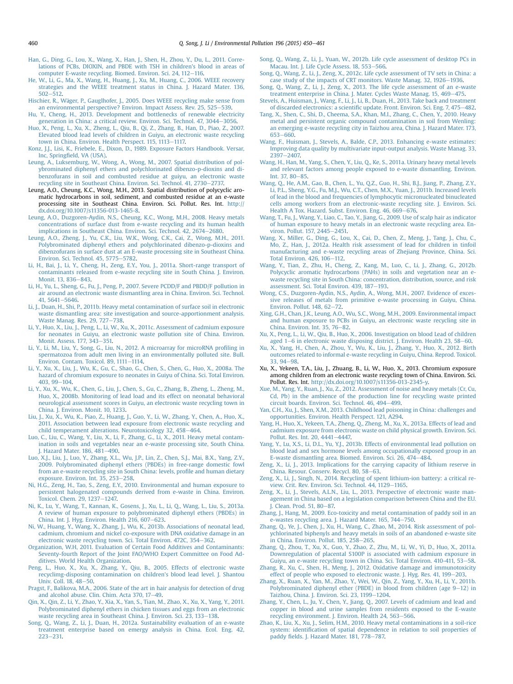- <span id="page-10-0"></span>[Han, G., Ding, G., Lou, X., Wang, X., Han, J., Shen, H., Zhou, Y., Du, L., 2011. Corre](http://refhub.elsevier.com/S0269-7491(14)00456-4/sref28)[lations of PCBs, DIOXIN, and PBDE with TSH in children's blood in areas of](http://refhub.elsevier.com/S0269-7491(14)00456-4/sref28) [computer E-waste recycling. Biomed. Environ. Sci. 24, 112](http://refhub.elsevier.com/S0269-7491(14)00456-4/sref28)-[116.](http://refhub.elsevier.com/S0269-7491(14)00456-4/sref28)
- [He, W., Li, G., Ma, X., Wang, H., Huang, J., Xu, M., Huang, C., 2006. WEEE recovery](http://refhub.elsevier.com/S0269-7491(14)00456-4/sref29) [strategies and the WEEE treatment status in China. J. Hazard Mater. 136,](http://refhub.elsevier.com/S0269-7491(14)00456-4/sref29)  $502 - 512$  $502 - 512$
- [Hischier, R., W](http://refhub.elsevier.com/S0269-7491(14)00456-4/sref30)ä[ger, P., Gauglhofer, J., 2005. Does WEEE recycling make sense from](http://refhub.elsevier.com/S0269-7491(14)00456-4/sref30) [an environmental perspective? Environ. Impact Assess. Rev. 25, 525](http://refhub.elsevier.com/S0269-7491(14)00456-4/sref30)–[539](http://refhub.elsevier.com/S0269-7491(14)00456-4/sref30).
- [Hu, Y., Cheng, H., 2013. Development and bottlenecks of renewable electricity](http://refhub.elsevier.com/S0269-7491(14)00456-4/sref31) [generation in China: a critical review. Environ. Sci. Technol. 47, 3044](http://refhub.elsevier.com/S0269-7491(14)00456-4/sref31)-[3056.](http://refhub.elsevier.com/S0269-7491(14)00456-4/sref31)
- [Huo, X., Peng, L., Xu, X., Zheng, L., Qiu, B., Qi, Z., Zhang, B., Han, D., Piao, Z., 2007.](http://refhub.elsevier.com/S0269-7491(14)00456-4/sref32) [Elevated blood lead levels of children in Guiyu, an electronic waste recycling](http://refhub.elsevier.com/S0269-7491(14)00456-4/sref32) [town in China. Environ. Health Perspect. 115, 1113](http://refhub.elsevier.com/S0269-7491(14)00456-4/sref32)-[1117.](http://refhub.elsevier.com/S0269-7491(14)00456-4/sref32)
- [Konz, J.J., Lisi, K., Friebele, E., Dixon, D., 1989. Exposure Factors Handbook. Versar,](http://refhub.elsevier.com/S0269-7491(14)00456-4/sref33) Inc, Springfi[eld, VA \(USA\).](http://refhub.elsevier.com/S0269-7491(14)00456-4/sref33)
- [Leung, A., Luksemburg, W., Wong, A., Wong, M., 2007. Spatial distribution of pol](http://refhub.elsevier.com/S0269-7491(14)00456-4/sref34)[ybrominated diphenyl ethers and polychlorinated dibenzo-p-dioxins and di](http://refhub.elsevier.com/S0269-7491(14)00456-4/sref34)[benzofurans in soil and combusted residue at guiyu, an electronic waste](http://refhub.elsevier.com/S0269-7491(14)00456-4/sref34) [recycling site in Southeast China. Environ. Sci. Technol. 41, 2730](http://refhub.elsevier.com/S0269-7491(14)00456-4/sref34)-[2737.](http://refhub.elsevier.com/S0269-7491(14)00456-4/sref34)
- Leung, A.O., Cheung, K.C., Wong, M.H., 2013. Spatial distribution of polycyclic aromatic hydrocarbons in soil, sediment, and combusted residue at an e-waste processing site in Southeast China. Environ. Sci. Pollut. Res. Int. [http://](http://dx.doi.org/10.1007/s11356-013-1465-8) [dx.doi.org/10.1007/s11356-013-1465-8.](http://dx.doi.org/10.1007/s11356-013-1465-8)
- [Leung, A.O., Duzgoren-Aydin, N.S., Cheung, K.C., Wong, M.H., 2008. Heavy metals](http://refhub.elsevier.com/S0269-7491(14)00456-4/sref36) [concentrations of surface dust from e-waste recycling and its human health](http://refhub.elsevier.com/S0269-7491(14)00456-4/sref36) [implications in Southeast China. Environ. Sci. Technol. 42, 2674](http://refhub.elsevier.com/S0269-7491(14)00456-4/sref36)-[2680](http://refhub.elsevier.com/S0269-7491(14)00456-4/sref36).
- [Leung, A.O., Zheng, J., Yu, C.K., Liu, W.K., Wong, C.K., Cai, Z., Wong, M.H., 2011.](http://refhub.elsevier.com/S0269-7491(14)00456-4/sref37) [Polybrominated diphenyl ethers and polychlorinated dibenzo-p-dioxins and](http://refhub.elsevier.com/S0269-7491(14)00456-4/sref37) [dibenzofurans in surface dust at an E-waste processing site in Southeast China.](http://refhub.elsevier.com/S0269-7491(14)00456-4/sref37) [Environ. Sci. Technol. 45, 5775](http://refhub.elsevier.com/S0269-7491(14)00456-4/sref37)-[5782.](http://refhub.elsevier.com/S0269-7491(14)00456-4/sref37)
- [Li, H., Bai, J., Li, Y., Cheng, H., Zeng, E.Y., You, J., 2011a. Short-range transport of](http://refhub.elsevier.com/S0269-7491(14)00456-4/sref38) [contaminants released from e-waste recycling site in South China. J. Environ.](http://refhub.elsevier.com/S0269-7491(14)00456-4/sref38) [Monit. 13, 836](http://refhub.elsevier.com/S0269-7491(14)00456-4/sref38)-[843.](http://refhub.elsevier.com/S0269-7491(14)00456-4/sref38)
- [Li, H., Yu, L., Sheng, G., Fu, J., Peng, P., 2007. Severe PCDD/F and PBDD/F pollution in](http://refhub.elsevier.com/S0269-7491(14)00456-4/sref39) [air around an electronic waste dismantling area in China. Environ. Sci. Technol.](http://refhub.elsevier.com/S0269-7491(14)00456-4/sref39) [41, 5641](http://refhub.elsevier.com/S0269-7491(14)00456-4/sref39)-[5646.](http://refhub.elsevier.com/S0269-7491(14)00456-4/sref39)
- [Li, J., Duan, H., Shi, P., 2011b. Heavy metal contamination of surface soil in electronic](http://refhub.elsevier.com/S0269-7491(14)00456-4/sref40) [waste dismantling area: site investigation and source-apportionment analysis.](http://refhub.elsevier.com/S0269-7491(14)00456-4/sref40) [Waste Manag. Res. 29, 727](http://refhub.elsevier.com/S0269-7491(14)00456-4/sref40)-[738.](http://refhub.elsevier.com/S0269-7491(14)00456-4/sref40)
- [Li, Y., Huo, X., Liu, J., Peng, L., Li, W., Xu, X., 2011c. Assessment of cadmium exposure](http://refhub.elsevier.com/S0269-7491(14)00456-4/sref41) [for neonates in Guiyu, an electronic waste pollution site of China. Environ.](http://refhub.elsevier.com/S0269-7491(14)00456-4/sref41) [Monit. Assess. 177, 343](http://refhub.elsevier.com/S0269-7491(14)00456-4/sref41)-[351.](http://refhub.elsevier.com/S0269-7491(14)00456-4/sref41)
- [Li, Y., Li, M., Liu, Y., Song, G., Liu, N., 2012. A microarray for microRNA pro](http://refhub.elsevier.com/S0269-7491(14)00456-4/sref42)filing in [spermatozoa from adult men living in an environmentally polluted site. Bull.](http://refhub.elsevier.com/S0269-7491(14)00456-4/sref42) [Environ. Contam. Toxicol. 89, 1111](http://refhub.elsevier.com/S0269-7491(14)00456-4/sref42)-[1114.](http://refhub.elsevier.com/S0269-7491(14)00456-4/sref42)
- [Li, Y., Xu, X., Liu, J., Wu, K., Gu, C., Shao, G., Chen, S., Chen, G., Huo, X., 2008a. The](http://refhub.elsevier.com/S0269-7491(14)00456-4/sref43) [hazard of chromium exposure to neonates in Guiyu of China. Sci. Total Environ.](http://refhub.elsevier.com/S0269-7491(14)00456-4/sref43) 403. 99-[104](http://refhub.elsevier.com/S0269-7491(14)00456-4/sref43).
- [Li, Y., Xu, X., Wu, K., Chen, G., Liu, J., Chen, S., Gu, C., Zhang, B., Zheng, L., Zheng, M.,](http://refhub.elsevier.com/S0269-7491(14)00456-4/sref44) [Huo, X., 2008b. Monitoring of lead load and its effect on neonatal behavioral](http://refhub.elsevier.com/S0269-7491(14)00456-4/sref44) [neurological assessment scores in Guiyu, an electronic waste recycling town in](http://refhub.elsevier.com/S0269-7491(14)00456-4/sref44) [China. J. Environ. Monit. 10, 1233](http://refhub.elsevier.com/S0269-7491(14)00456-4/sref44).
- [Liu, J., Xu, X., Wu, K., Piao, Z., Huang, J., Guo, Y., Li, W., Zhang, Y., Chen, A., Huo, X.,](http://refhub.elsevier.com/S0269-7491(14)00456-4/sref45) [2011. Association between lead exposure from electronic waste recycling and](http://refhub.elsevier.com/S0269-7491(14)00456-4/sref45) [child temperament alterations. Neurotoxicology 32, 458](http://refhub.elsevier.com/S0269-7491(14)00456-4/sref45)-[464](http://refhub.elsevier.com/S0269-7491(14)00456-4/sref45).
- [Luo, C., Liu, C., Wang, Y., Liu, X., Li, F., Zhang, G., Li, X., 2011. Heavy metal contam](http://refhub.elsevier.com/S0269-7491(14)00456-4/sref46)[ination in soils and vegetables near an e-waste processing site, South China.](http://refhub.elsevier.com/S0269-7491(14)00456-4/sref46) [J. Hazard Mater. 186, 481](http://refhub.elsevier.com/S0269-7491(14)00456-4/sref46)-[490](http://refhub.elsevier.com/S0269-7491(14)00456-4/sref46).
- [Luo, X.J., Liu, J., Luo, Y., Zhang, X.L., Wu, J.P., Lin, Z., Chen, S.J., Mai, B.X., Yang, Z.Y.,](http://refhub.elsevier.com/S0269-7491(14)00456-4/sref47) [2009. Polybrominated diphenyl ethers \(PBDEs\) in free-range domestic fowl](http://refhub.elsevier.com/S0269-7491(14)00456-4/sref47) [from an e-waste recycling site in South China: levels, pro](http://refhub.elsevier.com/S0269-7491(14)00456-4/sref47)file and human dietary [exposure. Environ. Int. 35, 253](http://refhub.elsevier.com/S0269-7491(14)00456-4/sref47)-[258](http://refhub.elsevier.com/S0269-7491(14)00456-4/sref47).
- [Ni, H.G., Zeng, H., Tao, S., Zeng, E.Y., 2010. Environmental and human exposure to](http://refhub.elsevier.com/S0269-7491(14)00456-4/sref48) [persistent halogenated compounds derived from e-waste in China. Environ.](http://refhub.elsevier.com/S0269-7491(14)00456-4/sref48) [Toxicol. Chem. 29, 1237](http://refhub.elsevier.com/S0269-7491(14)00456-4/sref48)-[1247.](http://refhub.elsevier.com/S0269-7491(14)00456-4/sref48)
- [Ni, K., Lu, Y., Wang, T., Kannan, K., Gosens, J., Xu, L., Li, Q., Wang, L., Liu, S., 2013a.](http://refhub.elsevier.com/S0269-7491(14)00456-4/sref49) [A review of human exposure to polybrominated diphenyl ethers \(PBDEs\) in](http://refhub.elsevier.com/S0269-7491(14)00456-4/sref49) [China. Int. J. Hyg. Environ. Health 216, 607](http://refhub.elsevier.com/S0269-7491(14)00456-4/sref49)-[623.](http://refhub.elsevier.com/S0269-7491(14)00456-4/sref49)
- [Ni, W., Huang, Y., Wang, X., Zhang, J., Wu, K., 2013b. Associations of neonatal lead,](http://refhub.elsevier.com/S0269-7491(14)00456-4/sref50) [cadmium, chromium and nickel co-exposure with DNA oxidative damage in an](http://refhub.elsevier.com/S0269-7491(14)00456-4/sref50) [electronic waste recycling town. Sci. Total Environ. 472C, 354](http://refhub.elsevier.com/S0269-7491(14)00456-4/sref50)-[362](http://refhub.elsevier.com/S0269-7491(14)00456-4/sref50).
- [Organization, W.H, 2011. Evaluation of Certain Food Additives and Contaminants:](http://refhub.elsevier.com/S0269-7491(14)00456-4/sref51) [Seventy-fourth Report of the Joint FAO/WHO Expert Committee on Food Ad](http://refhub.elsevier.com/S0269-7491(14)00456-4/sref51)[ditives. World Health Organization.](http://refhub.elsevier.com/S0269-7491(14)00456-4/sref51)
- [Peng, L., Huo, X., Xu, X., Zhang, Y., Qiu, B., 2005. Effects of electronic waste](http://refhub.elsevier.com/S0269-7491(14)00456-4/sref52) [recyclimg-disposing contamination on children's blood lead level. J. Shantou](http://refhub.elsevier.com/S0269-7491(14)00456-4/sref52) [Univ. Coll. 18, 48](http://refhub.elsevier.com/S0269-7491(14)00456-4/sref52)-[50.](http://refhub.elsevier.com/S0269-7491(14)00456-4/sref52)
- [Pragst, F., Balikova, M.A., 2006. State of the art in hair analysis for detection of drug](http://refhub.elsevier.com/S0269-7491(14)00456-4/sref53) and alcohol abuse. Clin. Chim. Acta 370,  $17-49$ .
- [Qin, X., Qin, Z., Li, Y., Zhao, Y., Xia, X., Yan, S., Tian, M., Zhao, X., Xu, X., Yang, Y., 2011.](http://refhub.elsevier.com/S0269-7491(14)00456-4/sref54) [Polybrominated diphenyl ethers in chicken tissues and eggs from an electronic](http://refhub.elsevier.com/S0269-7491(14)00456-4/sref54) [waste recycling area in Southeast China. J. Environ. Sci. 23, 133](http://refhub.elsevier.com/S0269-7491(14)00456-4/sref54)–[138.](http://refhub.elsevier.com/S0269-7491(14)00456-4/sref54)
- [Song, Q., Wang, Z., Li, J., Duan, H., 2012a. Sustainability evaluation of an e-waste](http://refhub.elsevier.com/S0269-7491(14)00456-4/sref55) [treatment enterprise based on emergy analysis in China. Ecol. Eng. 42,](http://refhub.elsevier.com/S0269-7491(14)00456-4/sref55)  $223 - 231$  $223 - 231$ .
- [Song, Q., Wang, Z., Li, J., Yuan, W., 2012b. Life cycle assessment of desktop PCs in](http://refhub.elsevier.com/S0269-7491(14)00456-4/sref56) [Macau. Int. J. Life Cycle Assess. 18, 553](http://refhub.elsevier.com/S0269-7491(14)00456-4/sref56)-[566.](http://refhub.elsevier.com/S0269-7491(14)00456-4/sref56)
- [Song, Q., Wang, Z., Li, J., Zeng, X., 2012c. Life cycle assessment of TV sets in China: a](http://refhub.elsevier.com/S0269-7491(14)00456-4/sref57) [case study of the impacts of CRT monitors. Waste Manag. 32, 1926](http://refhub.elsevier.com/S0269-7491(14)00456-4/sref57)–[1936](http://refhub.elsevier.com/S0269-7491(14)00456-4/sref57).
- [Song, Q., Wang, Z., Li, J., Zeng, X., 2013. The life cycle assessment of an e-waste](http://refhub.elsevier.com/S0269-7491(14)00456-4/sref58) [treatment enterprise in China. J. Mater. Cycles Waste Manag. 15, 469](http://refhub.elsevier.com/S0269-7491(14)00456-4/sref58)–[475](http://refhub.elsevier.com/S0269-7491(14)00456-4/sref58).
- [Stevels, A., Huisman, J., Wang, F., Li, J., Li, B., Duan, H., 2013. Take back and treatment](http://refhub.elsevier.com/S0269-7491(14)00456-4/sref59) of discarded electronics: a scientifi[c update. Front. Environ. Sci. Eng. 7, 475](http://refhub.elsevier.com/S0269-7491(14)00456-4/sref59)-[482](http://refhub.elsevier.com/S0269-7491(14)00456-4/sref59).
- [Tang, X., Shen, C., Shi, D., Cheema, S.A., Khan, M.I., Zhang, C., Chen, Y., 2010. Heavy](http://refhub.elsevier.com/S0269-7491(14)00456-4/sref60) [metal and persistent organic compound contamination in soil from Wenling:](http://refhub.elsevier.com/S0269-7491(14)00456-4/sref60) [an emerging e-waste recycling city in Taizhou area, China. J. Hazard Mater. 173,](http://refhub.elsevier.com/S0269-7491(14)00456-4/sref60)  $653 - 660$  $653 - 660$
- [Wang, F., Huisman, J., Stevels, A., Balde, C.P., 2013. Enhancing e-waste estimates:](http://refhub.elsevier.com/S0269-7491(14)00456-4/sref61) [Improving data quality by multivariate input-output analysis. Waste Manag. 33,](http://refhub.elsevier.com/S0269-7491(14)00456-4/sref61)  $2397 - 2407$  $2397 - 2407$ .
- [Wang, H., Han, M., Yang, S., Chen, Y., Liu, Q., Ke, S., 2011a. Urinary heavy metal levels](http://refhub.elsevier.com/S0269-7491(14)00456-4/sref62) [and relevant factors among people exposed to e-waste dismantling. Environ.](http://refhub.elsevier.com/S0269-7491(14)00456-4/sref62)  $Int. 37, 80-85.$  $Int. 37, 80-85.$  $Int. 37, 80-85.$
- [Wang, Q., He, A.M., Gao, B., Chen, L., Yu, Q.Z., Guo, H., Shi, B.J., Jiang, P., Zhang, Z.Y.,](http://refhub.elsevier.com/S0269-7491(14)00456-4/sref63) [Li, P.L., Sheng, Y.G., Fu, M.J., Wu, C.T., Chen, M.X., Yuan, J., 2011b. Increased levels](http://refhub.elsevier.com/S0269-7491(14)00456-4/sref63) [of lead in the blood and frequencies of lymphocytic micronucleated binucleated](http://refhub.elsevier.com/S0269-7491(14)00456-4/sref63) [cells among workers from an electronic-waste recycling site. J. Environ. Sci.](http://refhub.elsevier.com/S0269-7491(14)00456-4/sref63) [Health A Tox. Hazard. Subst. Environ. Eng. 46, 669](http://refhub.elsevier.com/S0269-7491(14)00456-4/sref63)-[676](http://refhub.elsevier.com/S0269-7491(14)00456-4/sref63).
- [Wang, T., Fu, J., Wang, Y., Liao, C., Tao, Y., Jiang, G., 2009. Use of scalp hair as indicator](http://refhub.elsevier.com/S0269-7491(14)00456-4/sref64) [of human exposure to heavy metals in an electronic waste recycling area. En](http://refhub.elsevier.com/S0269-7491(14)00456-4/sref64)[viron. Pollut. 157, 2445](http://refhub.elsevier.com/S0269-7491(14)00456-4/sref64)-[2451.](http://refhub.elsevier.com/S0269-7491(14)00456-4/sref64)
- [Wang, X., Miller, G., Ding, G., Lou, X., Cai, D., Chen, Z., Meng, J., Tang, J., Chu, C.,](http://refhub.elsevier.com/S0269-7491(14)00456-4/sref65) [Mo, Z., Han, J., 2012a. Health risk assessment of lead for children in tinfoil](http://refhub.elsevier.com/S0269-7491(14)00456-4/sref65) [manufacturing and e-waste recycling areas of Zhejiang Province, China. Sci.](http://refhub.elsevier.com/S0269-7491(14)00456-4/sref65) [Total Environ. 426, 106](http://refhub.elsevier.com/S0269-7491(14)00456-4/sref65)-[112.](http://refhub.elsevier.com/S0269-7491(14)00456-4/sref65)
- [Wang, Y., Tian, Z., Zhu, H., Cheng, Z., Kang, M., Luo, C., Li, J., Zhang, G., 2012b.](http://refhub.elsevier.com/S0269-7491(14)00456-4/sref66) [Polycyclic aromatic hydrocarbons \(PAHs\) in soils and vegetation near an e](http://refhub.elsevier.com/S0269-7491(14)00456-4/sref66)[waste recycling site in South China: concentration, distribution, source, and risk](http://refhub.elsevier.com/S0269-7491(14)00456-4/sref66) [assessment. Sci. Total Environ. 439, 187](http://refhub.elsevier.com/S0269-7491(14)00456-4/sref66)-[193.](http://refhub.elsevier.com/S0269-7491(14)00456-4/sref66)
- [Wong, C.S., Duzgoren-Aydin, N.S., Aydin, A., Wong, M.H., 2007. Evidence of exces](http://refhub.elsevier.com/S0269-7491(14)00456-4/sref67)[sive releases of metals from primitive e-waste processing in Guiyu, China.](http://refhub.elsevier.com/S0269-7491(14)00456-4/sref67) [Environ. Pollut. 148, 62](http://refhub.elsevier.com/S0269-7491(14)00456-4/sref67)-[72.](http://refhub.elsevier.com/S0269-7491(14)00456-4/sref67)
- [Xing, G.H., Chan, J.K., Leung, A.O., Wu, S.C., Wong, M.H., 2009. Environmental impact](http://refhub.elsevier.com/S0269-7491(14)00456-4/sref68) [and human exposure to PCBs in Guiyu, an electronic waste recycling site in](http://refhub.elsevier.com/S0269-7491(14)00456-4/sref68) China. Environ. Int.  $35, 76-82$  $35, 76-82$ .
- [Xu, X., Peng, L., Li, W., Qiu, B., Huo, X., 2006. Investigation on blood Lead of children](http://refhub.elsevier.com/S0269-7491(14)00456-4/sref69) [aged 1](http://refhub.elsevier.com/S0269-7491(14)00456-4/sref69)-[6 in electronic waste disposing district. J. Environ. Health 23, 58](http://refhub.elsevier.com/S0269-7491(14)00456-4/sref69)-[60](http://refhub.elsevier.com/S0269-7491(14)00456-4/sref69).
- [Xu, X., Yang, H., Chen, A., Zhou, Y., Wu, K., Liu, J., Zhang, Y., Huo, X., 2012. Birth](http://refhub.elsevier.com/S0269-7491(14)00456-4/sref70) [outcomes related to informal e-waste recycling in Guiyu, China. Reprod. Toxicol.](http://refhub.elsevier.com/S0269-7491(14)00456-4/sref70)  $33, 94 - 98$  $33, 94 - 98$  $33, 94 - 98$
- Xu, X., Yekeen, T.A., Liu, J., Zhuang, B., Li, W., Huo, X., 2013. Chromium exposure among children from an electronic waste recycling town of China. Environ. Sci. Pollut. Res. Int. [http://dx.doi.org/10.1007/s11356-013-2345-y.](http://dx.doi.org/10.1007/s11356-013-2345-y)
- [Xue, M., Yang, Y., Ruan, J., Xu, Z., 2012. Assessment of noise and heavy metals \(Cr, Cu,](http://refhub.elsevier.com/S0269-7491(14)00456-4/sref72) [Cd, Pb\) in the ambience of the production line for recycling waste printed](http://refhub.elsevier.com/S0269-7491(14)00456-4/sref72) [circuit boards. Environ. Sci. Technol. 46, 494](http://refhub.elsevier.com/S0269-7491(14)00456-4/sref72)-[499](http://refhub.elsevier.com/S0269-7491(14)00456-4/sref72).
- [Yan, C.H., Xu, J., Shen, X.M., 2013. Childhood lead poisoning in China: challenges and](http://refhub.elsevier.com/S0269-7491(14)00456-4/sref73) [opportunities. Environ. Health Perspect. 121, A294.](http://refhub.elsevier.com/S0269-7491(14)00456-4/sref73)
- [Yang, H., Huo, X., Yekeen, T.A., Zheng, Q., Zheng, M., Xu, X., 2013a. Effects of lead and](http://refhub.elsevier.com/S0269-7491(14)00456-4/sref74) [cadmium exposure from electronic waste on child physical growth. Environ. Sci.](http://refhub.elsevier.com/S0269-7491(14)00456-4/sref74) [Pollut. Res. Int. 20, 4441](http://refhub.elsevier.com/S0269-7491(14)00456-4/sref74)-[4447.](http://refhub.elsevier.com/S0269-7491(14)00456-4/sref74)
- [Yang, Y., Lu, X.S., Li, D.L., Yu, Y.J., 2013b. Effects of environmental lead pollution on](http://refhub.elsevier.com/S0269-7491(14)00456-4/sref75) [blood lead and sex hormone levels among occupationally exposed group in an](http://refhub.elsevier.com/S0269-7491(14)00456-4/sref75) [E-waste dismantling area. Biomed. Environ. Sci. 26, 474](http://refhub.elsevier.com/S0269-7491(14)00456-4/sref75)-[484.](http://refhub.elsevier.com/S0269-7491(14)00456-4/sref75)
- [Zeng, X., Li, J., 2013. Implications for the carrying capacity of lithium reserve in](http://refhub.elsevier.com/S0269-7491(14)00456-4/sref76) [China. Resour. Conserv. Recycl. 80, 58](http://refhub.elsevier.com/S0269-7491(14)00456-4/sref76)-[63.](http://refhub.elsevier.com/S0269-7491(14)00456-4/sref76)
- [Zeng, X., Li, J., Singh, N., 2014. Recycling of spent lithium-ion battery: a critical re](http://refhub.elsevier.com/S0269-7491(14)00456-4/sref77)[view. Crit. Rev. Environ. Sci. Technol. 44, 1129](http://refhub.elsevier.com/S0269-7491(14)00456-4/sref77)-[1165.](http://refhub.elsevier.com/S0269-7491(14)00456-4/sref77)
- [Zeng, X., Li, J., Stevels, A.L.N., Liu, L., 2013. Perspective of electronic waste man](http://refhub.elsevier.com/S0269-7491(14)00456-4/sref78)[agement in China based on a legislation comparison between China and the EU.](http://refhub.elsevier.com/S0269-7491(14)00456-4/sref78) [J. Clean. Prod. 51, 80](http://refhub.elsevier.com/S0269-7491(14)00456-4/sref78)-[87.](http://refhub.elsevier.com/S0269-7491(14)00456-4/sref78)
- [Zhang, J., Hang, M., 2009. Eco-toxicity and metal contamination of paddy soil in an](http://refhub.elsevier.com/S0269-7491(14)00456-4/sref79) [e-wastes recycling area. J. Hazard Mater. 165, 744](http://refhub.elsevier.com/S0269-7491(14)00456-4/sref79)-[750.](http://refhub.elsevier.com/S0269-7491(14)00456-4/sref79)
- [Zhang, Q., Ye, J., Chen, J., Xu, H., Wang, C., Zhao, M., 2014. Risk assessment of pol](http://refhub.elsevier.com/S0269-7491(14)00456-4/sref80)[ychlorinated biphenyls and heavy metals in soils of an abandoned e-waste site](http://refhub.elsevier.com/S0269-7491(14)00456-4/sref80) [in China. Environ. Pollut. 185, 258](http://refhub.elsevier.com/S0269-7491(14)00456-4/sref80)-[265](http://refhub.elsevier.com/S0269-7491(14)00456-4/sref80).
- [Zhang, Q., Zhou, T., Xu, X., Guo, Y., Zhao, Z., Zhu, M., Li, W., Yi, D., Huo, X., 2011a.](http://refhub.elsevier.com/S0269-7491(14)00456-4/sref81) [Downregulation of placental S100P is associated with cadmium exposure in](http://refhub.elsevier.com/S0269-7491(14)00456-4/sref81) [Guiyu, an e-waste recycling town in China. Sci. Total Environ. 410-411, 53](http://refhub.elsevier.com/S0269-7491(14)00456-4/sref81)-[58.](http://refhub.elsevier.com/S0269-7491(14)00456-4/sref81)
- [Zhang, R., Xu, C., Shen, H., Meng, J., 2012. Oxidative damage and immunotoxicity](http://refhub.elsevier.com/S0269-7491(14)00456-4/sref82) [effect of people who exposed to electronic waste. J. Hyg. Res. 41, 199](http://refhub.elsevier.com/S0269-7491(14)00456-4/sref82)-[203](http://refhub.elsevier.com/S0269-7491(14)00456-4/sref82).
- [Zhang, X., Ruan, X., Yan, M., Zhao, Y., Wei, W., Qin, Z., Yang, Y., Xu, H., Li, Y., 2011b.](http://refhub.elsevier.com/S0269-7491(14)00456-4/sref83) [Polybrominated diphenyl ether \(PBDE\) in blood from children \(age 9](http://refhub.elsevier.com/S0269-7491(14)00456-4/sref83)-[12\) in](http://refhub.elsevier.com/S0269-7491(14)00456-4/sref83) [Taizhou, China. J. Environ. Sci. 23, 1199](http://refhub.elsevier.com/S0269-7491(14)00456-4/sref83)-[1204.](http://refhub.elsevier.com/S0269-7491(14)00456-4/sref83)
- [Zhang, Y., Chen, L., Ju, Y., Chen, Y., Jiang, Q., 2007. Levels of cadmium and lead and](http://refhub.elsevier.com/S0269-7491(14)00456-4/sref84) [copper in blood and urine samples from residents exposed to the E-waste](http://refhub.elsevier.com/S0269-7491(14)00456-4/sref84) [recycling environment. J. Environ. Health 24, 563](http://refhub.elsevier.com/S0269-7491(14)00456-4/sref84)-[566](http://refhub.elsevier.com/S0269-7491(14)00456-4/sref84).
- [Zhao, K., Liu, X., Xu, J., Selim, H.M., 2010. Heavy metal contaminations in a soil-rice](http://refhub.elsevier.com/S0269-7491(14)00456-4/sref85) system: identifi[cation of spatial dependence in relation to soil properties of](http://refhub.elsevier.com/S0269-7491(14)00456-4/sref85) paddy fi[elds. J. Hazard Mater. 181, 778](http://refhub.elsevier.com/S0269-7491(14)00456-4/sref85)-[787.](http://refhub.elsevier.com/S0269-7491(14)00456-4/sref85)